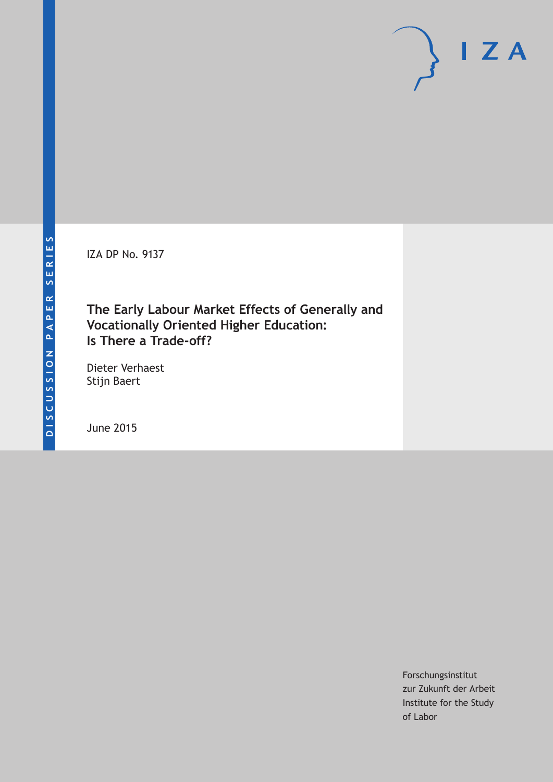IZA DP No. 9137

## **The Early Labour Market Effects of Generally and Vocationally Oriented Higher Education: Is There a Trade-off?**

Dieter Verhaest Stijn Baert

June 2015

Forschungsinstitut zur Zukunft der Arbeit Institute for the Study of Labor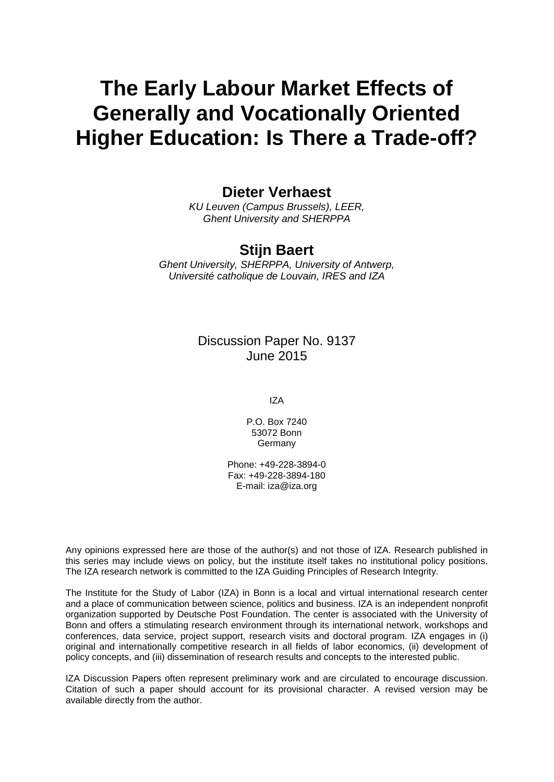# **The Early Labour Market Effects of Generally and Vocationally Oriented Higher Education: Is There a Trade-off?**

## **Dieter Verhaest**

*KU Leuven (Campus Brussels), LEER, Ghent University and SHERPPA*

## **Stijn Baert**

*Ghent University, SHERPPA, University of Antwerp, Université catholique de Louvain, IRES and IZA*

## Discussion Paper No. 9137 June 2015

IZA

P.O. Box 7240 53072 Bonn Germany

Phone: +49-228-3894-0 Fax: +49-228-3894-180 E-mail: iza@iza.org

Any opinions expressed here are those of the author(s) and not those of IZA. Research published in this series may include views on policy, but the institute itself takes no institutional policy positions. The IZA research network is committed to the IZA Guiding Principles of Research Integrity.

The Institute for the Study of Labor (IZA) in Bonn is a local and virtual international research center and a place of communication between science, politics and business. IZA is an independent nonprofit organization supported by Deutsche Post Foundation. The center is associated with the University of Bonn and offers a stimulating research environment through its international network, workshops and conferences, data service, project support, research visits and doctoral program. IZA engages in (i) original and internationally competitive research in all fields of labor economics, (ii) development of policy concepts, and (iii) dissemination of research results and concepts to the interested public.

<span id="page-1-0"></span>IZA Discussion Papers often represent preliminary work and are circulated to encourage discussion. Citation of such a paper should account for its provisional character. A revised version may be available directly from the author.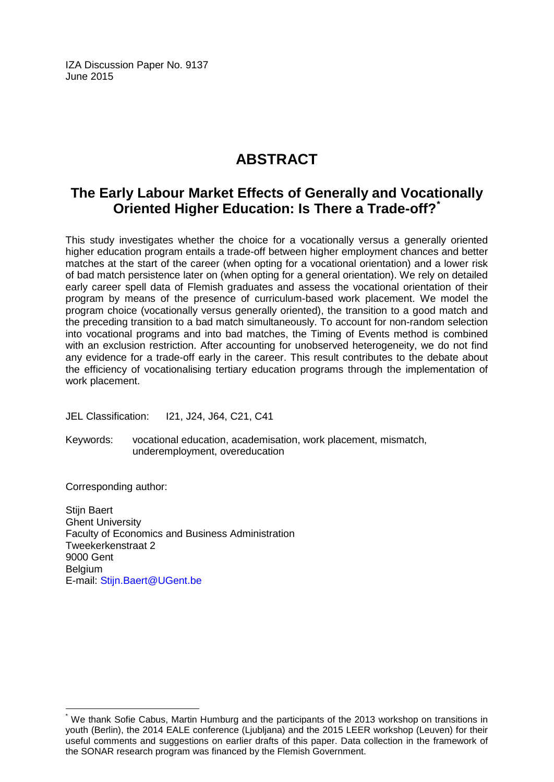IZA Discussion Paper No. 9137 June 2015

## **ABSTRACT**

## **The Early Labour Market Effects of Generally and Vocationally Oriented Higher Education: Is There a Trade-off?[\\*](#page-1-0)**

This study investigates whether the choice for a vocationally versus a generally oriented higher education program entails a trade-off between higher employment chances and better matches at the start of the career (when opting for a vocational orientation) and a lower risk of bad match persistence later on (when opting for a general orientation). We rely on detailed early career spell data of Flemish graduates and assess the vocational orientation of their program by means of the presence of curriculum-based work placement. We model the program choice (vocationally versus generally oriented), the transition to a good match and the preceding transition to a bad match simultaneously. To account for non-random selection into vocational programs and into bad matches, the Timing of Events method is combined with an exclusion restriction. After accounting for unobserved heterogeneity, we do not find any evidence for a trade-off early in the career. This result contributes to the debate about the efficiency of vocationalising tertiary education programs through the implementation of work placement.

JEL Classification: I21, J24, J64, C21, C41

Keywords: vocational education, academisation, work placement, mismatch, underemployment, overeducation

Corresponding author:

Stijn Baert Ghent University Faculty of Economics and Business Administration Tweekerkenstraat 2 9000 Gent **Belgium** E-mail: [Stijn.Baert@UGent.be](mailto:Stijn.Baert@UGent.be)

We thank Sofie Cabus, Martin Humburg and the participants of the 2013 workshop on transitions in youth (Berlin), the 2014 EALE conference (Ljubljana) and the 2015 LEER workshop (Leuven) for their useful comments and suggestions on earlier drafts of this paper. Data collection in the framework of the SONAR research program was financed by the Flemish Government.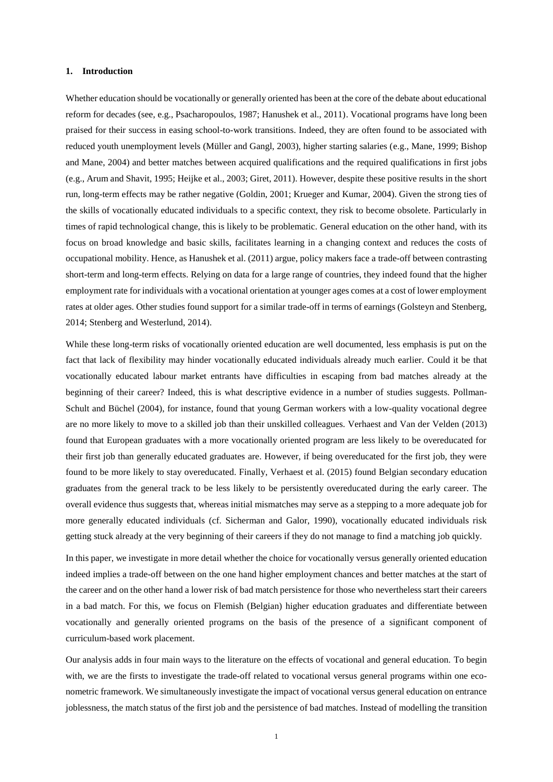#### **1. Introduction**

Whether education should be vocationally or generally oriented has been at the core of the debate about educational reform for decades (see, e.g., Psacharopoulos, 1987; Hanushek et al., 2011). Vocational programs have long been praised for their success in easing school-to-work transitions. Indeed, they are often found to be associated with reduced youth unemployment levels (Müller and Gangl, 2003), higher starting salaries (e.g., Mane, 1999; Bishop and Mane, 2004) and better matches between acquired qualifications and the required qualifications in first jobs (e.g., Arum and Shavit, 1995; Heijke et al., 2003; Giret, 2011). However, despite these positive results in the short run, long-term effects may be rather negative (Goldin, 2001; Krueger and Kumar, 2004). Given the strong ties of the skills of vocationally educated individuals to a specific context, they risk to become obsolete. Particularly in times of rapid technological change, this is likely to be problematic. General education on the other hand, with its focus on broad knowledge and basic skills, facilitates learning in a changing context and reduces the costs of occupational mobility. Hence, as Hanushek et al. (2011) argue, policy makers face a trade-off between contrasting short-term and long-term effects. Relying on data for a large range of countries, they indeed found that the higher employment rate for individuals with a vocational orientation at younger ages comes at a cost of lower employment rates at older ages. Other studies found support for a similar trade-off in terms of earnings (Golsteyn and Stenberg, 2014; Stenberg and Westerlund, 2014).

While these long-term risks of vocationally oriented education are well documented, less emphasis is put on the fact that lack of flexibility may hinder vocationally educated individuals already much earlier. Could it be that vocationally educated labour market entrants have difficulties in escaping from bad matches already at the beginning of their career? Indeed, this is what descriptive evidence in a number of studies suggests. Pollman-Schult and Büchel (2004), for instance, found that young German workers with a low-quality vocational degree are no more likely to move to a skilled job than their unskilled colleagues. Verhaest and Van der Velden (2013) found that European graduates with a more vocationally oriented program are less likely to be overeducated for their first job than generally educated graduates are. However, if being overeducated for the first job, they were found to be more likely to stay overeducated. Finally, Verhaest et al. (2015) found Belgian secondary education graduates from the general track to be less likely to be persistently overeducated during the early career. The overall evidence thus suggests that, whereas initial mismatches may serve as a stepping to a more adequate job for more generally educated individuals (cf. Sicherman and Galor, 1990), vocationally educated individuals risk getting stuck already at the very beginning of their careers if they do not manage to find a matching job quickly.

In this paper, we investigate in more detail whether the choice for vocationally versus generally oriented education indeed implies a trade-off between on the one hand higher employment chances and better matches at the start of the career and on the other hand a lower risk of bad match persistence for those who nevertheless start their careers in a bad match. For this, we focus on Flemish (Belgian) higher education graduates and differentiate between vocationally and generally oriented programs on the basis of the presence of a significant component of curriculum-based work placement.

Our analysis adds in four main ways to the literature on the effects of vocational and general education. To begin with, we are the firsts to investigate the trade-off related to vocational versus general programs within one econometric framework. We simultaneously investigate the impact of vocational versus general education on entrance joblessness, the match status of the first job and the persistence of bad matches. Instead of modelling the transition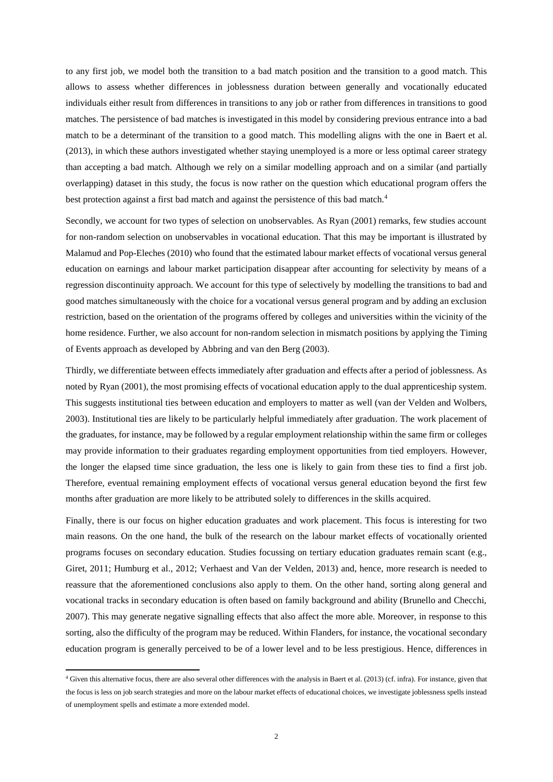to any first job, we model both the transition to a bad match position and the transition to a good match. This allows to assess whether differences in joblessness duration between generally and vocationally educated individuals either result from differences in transitions to any job or rather from differences in transitions to good matches. The persistence of bad matches is investigated in this model by considering previous entrance into a bad match to be a determinant of the transition to a good match. This modelling aligns with the one in Baert et al. (2013), in which these authors investigated whether staying unemployed is a more or less optimal career strategy than accepting a bad match. Although we rely on a similar modelling approach and on a similar (and partially overlapping) dataset in this study, the focus is now rather on the question which educational program offers the best protection against a first bad match and against the persistence of this bad match.<sup>4</sup>

Secondly, we account for two types of selection on unobservables. As Ryan (2001) remarks, few studies account for non-random selection on unobservables in vocational education. That this may be important is illustrated by Malamud and Pop-Eleches (2010) who found that the estimated labour market effects of vocational versus general education on earnings and labour market participation disappear after accounting for selectivity by means of a regression discontinuity approach. We account for this type of selectively by modelling the transitions to bad and good matches simultaneously with the choice for a vocational versus general program and by adding an exclusion restriction, based on the orientation of the programs offered by colleges and universities within the vicinity of the home residence. Further, we also account for non-random selection in mismatch positions by applying the Timing of Events approach as developed by Abbring and van den Berg (2003).

Thirdly, we differentiate between effects immediately after graduation and effects after a period of joblessness. As noted by Ryan (2001), the most promising effects of vocational education apply to the dual apprenticeship system. This suggests institutional ties between education and employers to matter as well (van der Velden and Wolbers, 2003). Institutional ties are likely to be particularly helpful immediately after graduation. The work placement of the graduates, for instance, may be followed by a regular employment relationship within the same firm or colleges may provide information to their graduates regarding employment opportunities from tied employers. However, the longer the elapsed time since graduation, the less one is likely to gain from these ties to find a first job. Therefore, eventual remaining employment effects of vocational versus general education beyond the first few months after graduation are more likely to be attributed solely to differences in the skills acquired.

Finally, there is our focus on higher education graduates and work placement. This focus is interesting for two main reasons. On the one hand, the bulk of the research on the labour market effects of vocationally oriented programs focuses on secondary education. Studies focussing on tertiary education graduates remain scant (e.g., Giret, 2011; Humburg et al., 2012; Verhaest and Van der Velden, 2013) and, hence, more research is needed to reassure that the aforementioned conclusions also apply to them. On the other hand, sorting along general and vocational tracks in secondary education is often based on family background and ability (Brunello and Checchi, 2007). This may generate negative signalling effects that also affect the more able. Moreover, in response to this sorting, also the difficulty of the program may be reduced. Within Flanders, for instance, the vocational secondary education program is generally perceived to be of a lower level and to be less prestigious. Hence, differences in

1

<sup>4</sup> Given this alternative focus, there are also several other differences with the analysis in Baert et al. (2013) (cf. infra). For instance, given that the focus is less on job search strategies and more on the labour market effects of educational choices, we investigate joblessness spells instead of unemployment spells and estimate a more extended model.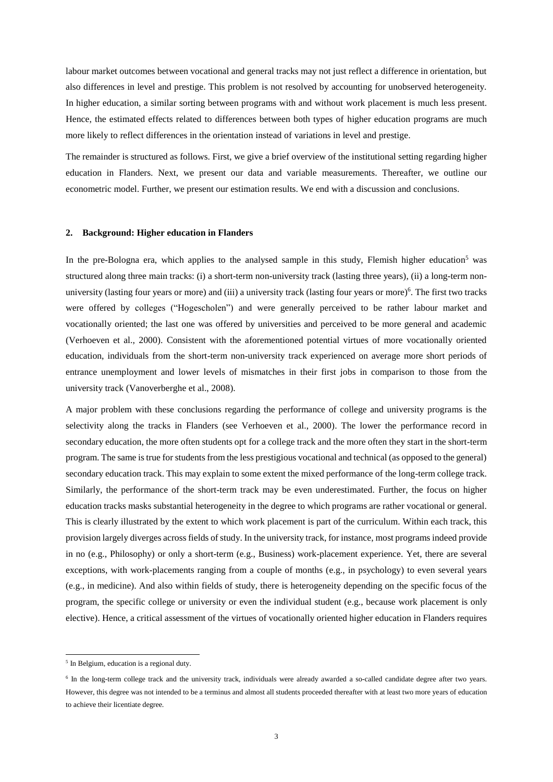labour market outcomes between vocational and general tracks may not just reflect a difference in orientation, but also differences in level and prestige. This problem is not resolved by accounting for unobserved heterogeneity. In higher education, a similar sorting between programs with and without work placement is much less present. Hence, the estimated effects related to differences between both types of higher education programs are much more likely to reflect differences in the orientation instead of variations in level and prestige.

The remainder is structured as follows. First, we give a brief overview of the institutional setting regarding higher education in Flanders. Next, we present our data and variable measurements. Thereafter, we outline our econometric model. Further, we present our estimation results. We end with a discussion and conclusions.

#### **2. Background: Higher education in Flanders**

In the pre-Bologna era, which applies to the analysed sample in this study, Flemish higher education<sup>5</sup> was structured along three main tracks: (i) a short-term non-university track (lasting three years), (ii) a long-term nonuniversity (lasting four years or more) and (iii) a university track (lasting four years or more)<sup>6</sup>. The first two tracks were offered by colleges ("Hogescholen") and were generally perceived to be rather labour market and vocationally oriented; the last one was offered by universities and perceived to be more general and academic (Verhoeven et al., 2000). Consistent with the aforementioned potential virtues of more vocationally oriented education, individuals from the short-term non-university track experienced on average more short periods of entrance unemployment and lower levels of mismatches in their first jobs in comparison to those from the university track (Vanoverberghe et al., 2008).

A major problem with these conclusions regarding the performance of college and university programs is the selectivity along the tracks in Flanders (see Verhoeven et al., 2000). The lower the performance record in secondary education, the more often students opt for a college track and the more often they start in the short-term program. The same is true for students from the less prestigious vocational and technical (as opposed to the general) secondary education track. This may explain to some extent the mixed performance of the long-term college track. Similarly, the performance of the short-term track may be even underestimated. Further, the focus on higher education tracks masks substantial heterogeneity in the degree to which programs are rather vocational or general. This is clearly illustrated by the extent to which work placement is part of the curriculum. Within each track, this provision largely diverges across fields of study. In the university track, for instance, most programs indeed provide in no (e.g., Philosophy) or only a short-term (e.g., Business) work-placement experience. Yet, there are several exceptions, with work-placements ranging from a couple of months (e.g., in psychology) to even several years (e.g., in medicine). And also within fields of study, there is heterogeneity depending on the specific focus of the program, the specific college or university or even the individual student (e.g., because work placement is only elective). Hence, a critical assessment of the virtues of vocationally oriented higher education in Flanders requires

1

<sup>&</sup>lt;sup>5</sup> In Belgium, education is a regional duty.

<sup>&</sup>lt;sup>6</sup> In the long-term college track and the university track, individuals were already awarded a so-called candidate degree after two years. However, this degree was not intended to be a terminus and almost all students proceeded thereafter with at least two more years of education to achieve their licentiate degree.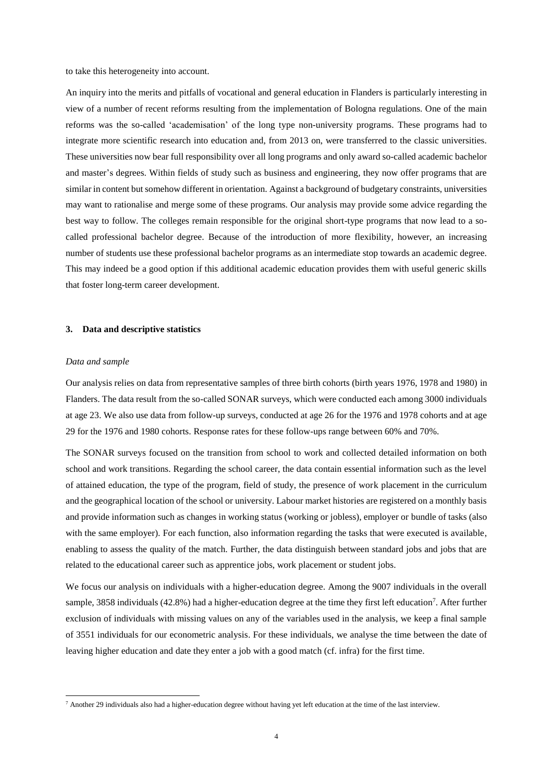to take this heterogeneity into account.

An inquiry into the merits and pitfalls of vocational and general education in Flanders is particularly interesting in view of a number of recent reforms resulting from the implementation of Bologna regulations. One of the main reforms was the so-called 'academisation' of the long type non-university programs. These programs had to integrate more scientific research into education and, from 2013 on, were transferred to the classic universities. These universities now bear full responsibility over all long programs and only award so-called academic bachelor and master's degrees. Within fields of study such as business and engineering, they now offer programs that are similar in content but somehow different in orientation. Against a background of budgetary constraints, universities may want to rationalise and merge some of these programs. Our analysis may provide some advice regarding the best way to follow. The colleges remain responsible for the original short-type programs that now lead to a socalled professional bachelor degree. Because of the introduction of more flexibility, however, an increasing number of students use these professional bachelor programs as an intermediate stop towards an academic degree. This may indeed be a good option if this additional academic education provides them with useful generic skills that foster long-term career development.

#### **3. Data and descriptive statistics**

#### *Data and sample*

**.** 

Our analysis relies on data from representative samples of three birth cohorts (birth years 1976, 1978 and 1980) in Flanders. The data result from the so-called SONAR surveys, which were conducted each among 3000 individuals at age 23. We also use data from follow-up surveys, conducted at age 26 for the 1976 and 1978 cohorts and at age 29 for the 1976 and 1980 cohorts. Response rates for these follow-ups range between 60% and 70%.

The SONAR surveys focused on the transition from school to work and collected detailed information on both school and work transitions. Regarding the school career, the data contain essential information such as the level of attained education, the type of the program, field of study, the presence of work placement in the curriculum and the geographical location of the school or university. Labour market histories are registered on a monthly basis and provide information such as changes in working status (working or jobless), employer or bundle of tasks (also with the same employer). For each function, also information regarding the tasks that were executed is available, enabling to assess the quality of the match. Further, the data distinguish between standard jobs and jobs that are related to the educational career such as apprentice jobs, work placement or student jobs.

We focus our analysis on individuals with a higher-education degree. Among the 9007 individuals in the overall sample, 3858 individuals (42.8%) had a higher-education degree at the time they first left education<sup>7</sup>. After further exclusion of individuals with missing values on any of the variables used in the analysis, we keep a final sample of 3551 individuals for our econometric analysis. For these individuals, we analyse the time between the date of leaving higher education and date they enter a job with a good match (cf. infra) for the first time.

<sup>7</sup> Another 29 individuals also had a higher-education degree without having yet left education at the time of the last interview.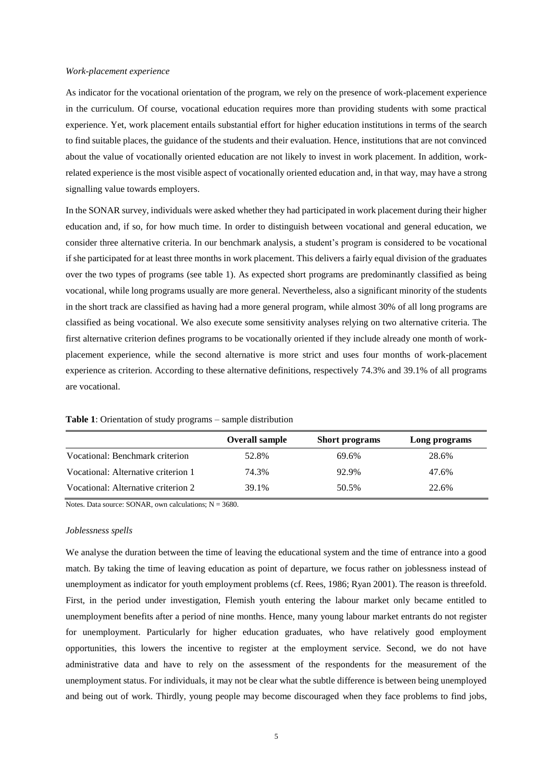#### *Work-placement experience*

As indicator for the vocational orientation of the program, we rely on the presence of work-placement experience in the curriculum. Of course, vocational education requires more than providing students with some practical experience. Yet, work placement entails substantial effort for higher education institutions in terms of the search to find suitable places, the guidance of the students and their evaluation. Hence, institutions that are not convinced about the value of vocationally oriented education are not likely to invest in work placement. In addition, workrelated experience is the most visible aspect of vocationally oriented education and, in that way, may have a strong signalling value towards employers.

In the SONAR survey, individuals were asked whether they had participated in work placement during their higher education and, if so, for how much time. In order to distinguish between vocational and general education, we consider three alternative criteria. In our benchmark analysis, a student's program is considered to be vocational if she participated for at least three months in work placement. This delivers a fairly equal division of the graduates over the two types of programs (see table 1). As expected short programs are predominantly classified as being vocational, while long programs usually are more general. Nevertheless, also a significant minority of the students in the short track are classified as having had a more general program, while almost 30% of all long programs are classified as being vocational. We also execute some sensitivity analyses relying on two alternative criteria. The first alternative criterion defines programs to be vocationally oriented if they include already one month of workplacement experience, while the second alternative is more strict and uses four months of work-placement experience as criterion. According to these alternative definitions, respectively 74.3% and 39.1% of all programs are vocational.

|                                     | <b>Overall sample</b> | <b>Short programs</b> | Long programs |
|-------------------------------------|-----------------------|-----------------------|---------------|
| Vocational: Benchmark criterion     | 52.8%                 | 69.6%                 | 28.6%         |
| Vocational: Alternative criterion 1 | 74.3%                 | 92.9%                 | 47.6%         |
| Vocational: Alternative criterion 2 | 39.1%                 | 50.5%                 | 22.6%         |

**Table 1**: Orientation of study programs – sample distribution

Notes. Data source: SONAR, own calculations;  $N = 3680$ .

#### *Joblessness spells*

We analyse the duration between the time of leaving the educational system and the time of entrance into a good match. By taking the time of leaving education as point of departure, we focus rather on joblessness instead of unemployment as indicator for youth employment problems (cf. Rees, 1986; Ryan 2001). The reason is threefold. First, in the period under investigation, Flemish youth entering the labour market only became entitled to unemployment benefits after a period of nine months. Hence, many young labour market entrants do not register for unemployment. Particularly for higher education graduates, who have relatively good employment opportunities, this lowers the incentive to register at the employment service. Second, we do not have administrative data and have to rely on the assessment of the respondents for the measurement of the unemployment status. For individuals, it may not be clear what the subtle difference is between being unemployed and being out of work. Thirdly, young people may become discouraged when they face problems to find jobs,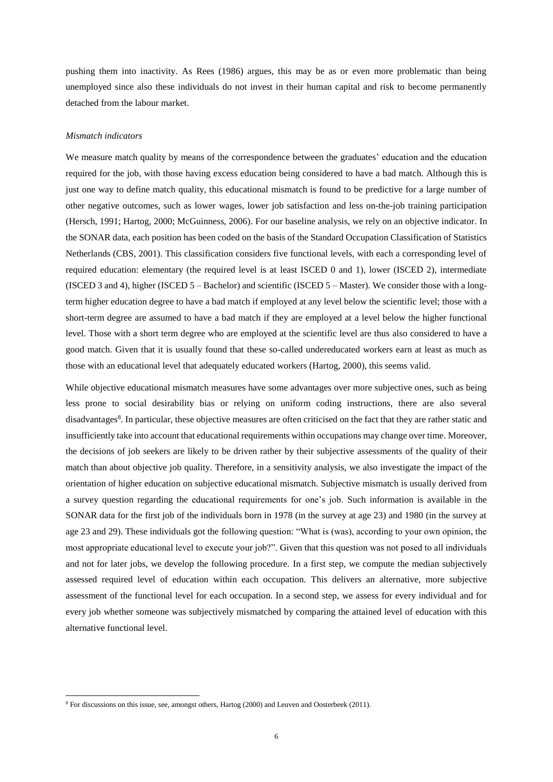pushing them into inactivity. As Rees (1986) argues, this may be as or even more problematic than being unemployed since also these individuals do not invest in their human capital and risk to become permanently detached from the labour market.

#### *Mismatch indicators*

**.** 

We measure match quality by means of the correspondence between the graduates' education and the education required for the job, with those having excess education being considered to have a bad match. Although this is just one way to define match quality, this educational mismatch is found to be predictive for a large number of other negative outcomes, such as lower wages, lower job satisfaction and less on-the-job training participation (Hersch, 1991; Hartog, 2000; McGuinness, 2006). For our baseline analysis, we rely on an objective indicator. In the SONAR data, each position has been coded on the basis of the Standard Occupation Classification of Statistics Netherlands (CBS, 2001). This classification considers five functional levels, with each a corresponding level of required education: elementary (the required level is at least ISCED 0 and 1), lower (ISCED 2), intermediate (ISCED 3 and 4), higher (ISCED 5 – Bachelor) and scientific (ISCED 5 – Master). We consider those with a longterm higher education degree to have a bad match if employed at any level below the scientific level; those with a short-term degree are assumed to have a bad match if they are employed at a level below the higher functional level. Those with a short term degree who are employed at the scientific level are thus also considered to have a good match. Given that it is usually found that these so-called undereducated workers earn at least as much as those with an educational level that adequately educated workers (Hartog, 2000), this seems valid.

While objective educational mismatch measures have some advantages over more subjective ones, such as being less prone to social desirability bias or relying on uniform coding instructions, there are also several disadvantages<sup>8</sup>. In particular, these objective measures are often criticised on the fact that they are rather static and insufficiently take into account that educational requirements within occupations may change over time. Moreover, the decisions of job seekers are likely to be driven rather by their subjective assessments of the quality of their match than about objective job quality. Therefore, in a sensitivity analysis, we also investigate the impact of the orientation of higher education on subjective educational mismatch. Subjective mismatch is usually derived from a survey question regarding the educational requirements for one's job. Such information is available in the SONAR data for the first job of the individuals born in 1978 (in the survey at age 23) and 1980 (in the survey at age 23 and 29). These individuals got the following question: "What is (was), according to your own opinion, the most appropriate educational level to execute your job?". Given that this question was not posed to all individuals and not for later jobs, we develop the following procedure. In a first step, we compute the median subjectively assessed required level of education within each occupation. This delivers an alternative, more subjective assessment of the functional level for each occupation. In a second step, we assess for every individual and for every job whether someone was subjectively mismatched by comparing the attained level of education with this alternative functional level.

<sup>8</sup> For discussions on this issue, see, amongst others, Hartog (2000) and Leuven and Oosterbeek (2011).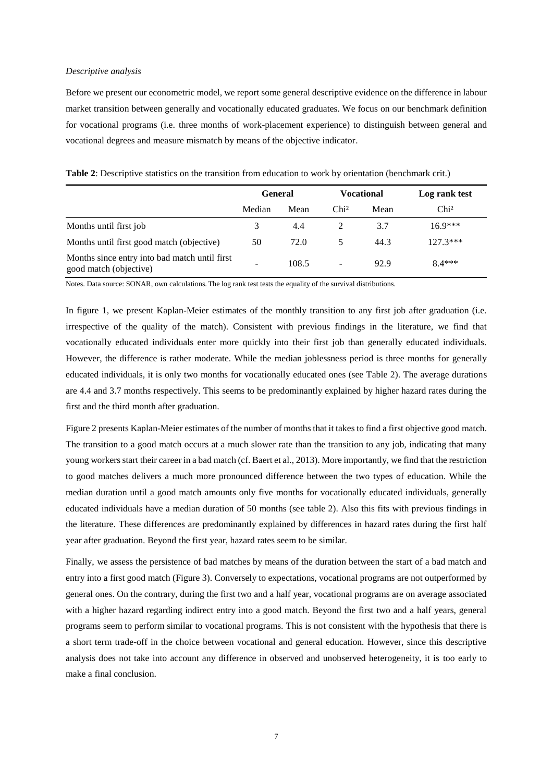#### *Descriptive analysis*

Before we present our econometric model, we report some general descriptive evidence on the difference in labour market transition between generally and vocationally educated graduates. We focus on our benchmark definition for vocational programs (i.e. three months of work-placement experience) to distinguish between general and vocational degrees and measure mismatch by means of the objective indicator.

| <b>Table 2:</b> Descriptive statistics on the transition from education to work by orientation (benchmark crit.) |  |
|------------------------------------------------------------------------------------------------------------------|--|
|------------------------------------------------------------------------------------------------------------------|--|

|                                                                         | <b>General</b> |       |                          | <b>Vocational</b> | Log rank test    |  |
|-------------------------------------------------------------------------|----------------|-------|--------------------------|-------------------|------------------|--|
|                                                                         | Median         | Mean  | Chi <sup>2</sup>         | Mean              | Chi <sup>2</sup> |  |
| Months until first job                                                  | 3              | 4.4   |                          | 3.7               | $16.9***$        |  |
| Months until first good match (objective)                               | 50             | 72.0  | 5                        | 44.3              | $127.3***$       |  |
| Months since entry into bad match until first<br>good match (objective) |                | 108.5 | $\overline{\phantom{0}}$ | 92.9              | $8.4***$         |  |

Notes. Data source: SONAR, own calculations. The log rank test tests the equality of the survival distributions.

In figure 1, we present Kaplan-Meier estimates of the monthly transition to any first job after graduation (i.e. irrespective of the quality of the match). Consistent with previous findings in the literature, we find that vocationally educated individuals enter more quickly into their first job than generally educated individuals. However, the difference is rather moderate. While the median joblessness period is three months for generally educated individuals, it is only two months for vocationally educated ones (see Table 2). The average durations are 4.4 and 3.7 months respectively. This seems to be predominantly explained by higher hazard rates during the first and the third month after graduation.

Figure 2 presents Kaplan-Meier estimates of the number of months that it takes to find a first objective good match. The transition to a good match occurs at a much slower rate than the transition to any job, indicating that many young workers start their career in a bad match (cf. Baert et al., 2013). More importantly, we find that the restriction to good matches delivers a much more pronounced difference between the two types of education. While the median duration until a good match amounts only five months for vocationally educated individuals, generally educated individuals have a median duration of 50 months (see table 2). Also this fits with previous findings in the literature. These differences are predominantly explained by differences in hazard rates during the first half year after graduation. Beyond the first year, hazard rates seem to be similar.

Finally, we assess the persistence of bad matches by means of the duration between the start of a bad match and entry into a first good match (Figure 3). Conversely to expectations, vocational programs are not outperformed by general ones. On the contrary, during the first two and a half year, vocational programs are on average associated with a higher hazard regarding indirect entry into a good match. Beyond the first two and a half years, general programs seem to perform similar to vocational programs. This is not consistent with the hypothesis that there is a short term trade-off in the choice between vocational and general education. However, since this descriptive analysis does not take into account any difference in observed and unobserved heterogeneity, it is too early to make a final conclusion.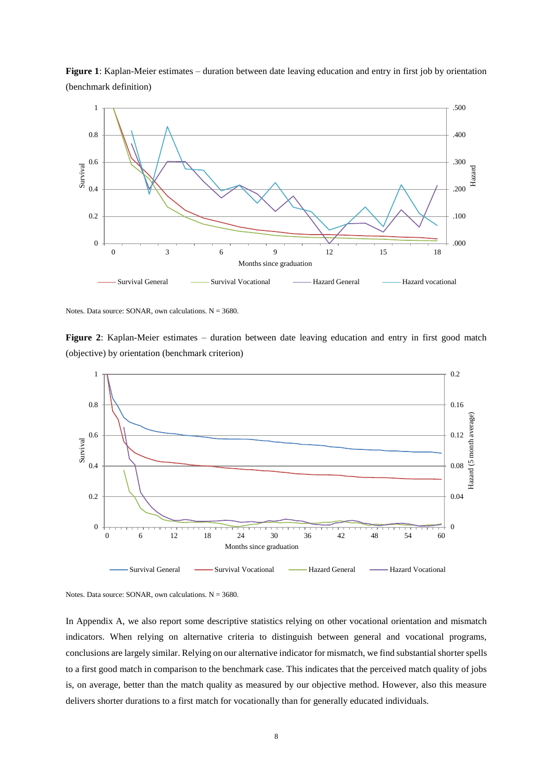

**Figure 1**: Kaplan-Meier estimates – duration between date leaving education and entry in first job by orientation (benchmark definition)

Notes. Data source: SONAR, own calculations.  $N = 3680$ .

**Figure 2**: Kaplan-Meier estimates – duration between date leaving education and entry in first good match (objective) by orientation (benchmark criterion)



Notes. Data source: SONAR, own calculations.  $N = 3680$ .

In Appendix A, we also report some descriptive statistics relying on other vocational orientation and mismatch indicators. When relying on alternative criteria to distinguish between general and vocational programs, conclusions are largely similar. Relying on our alternative indicator for mismatch, we find substantial shorter spells to a first good match in comparison to the benchmark case. This indicates that the perceived match quality of jobs is, on average, better than the match quality as measured by our objective method. However, also this measure delivers shorter durations to a first match for vocationally than for generally educated individuals.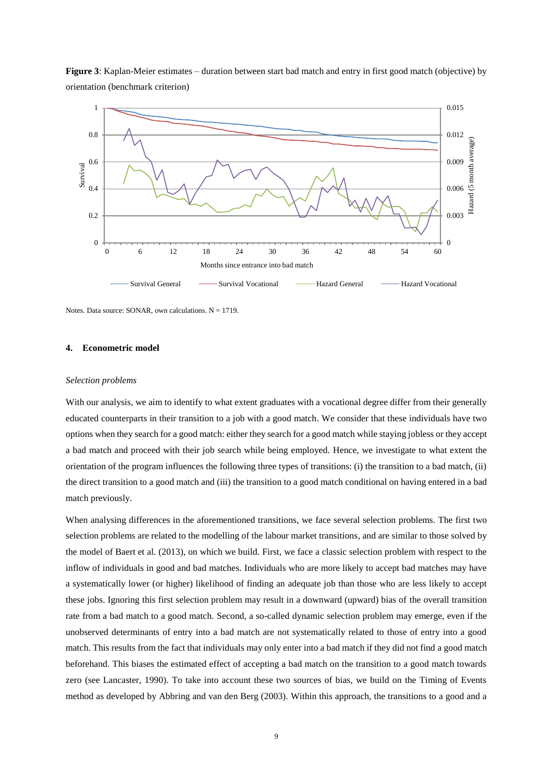

**Figure 3**: Kaplan-Meier estimates – duration between start bad match and entry in first good match (objective) by orientation (benchmark criterion)

Notes. Data source: SONAR, own calculations.  $N = 1719$ .

#### **4. Econometric model**

#### *Selection problems*

With our analysis, we aim to identify to what extent graduates with a vocational degree differ from their generally educated counterparts in their transition to a job with a good match. We consider that these individuals have two options when they search for a good match: either they search for a good match while staying jobless or they accept a bad match and proceed with their job search while being employed. Hence, we investigate to what extent the orientation of the program influences the following three types of transitions: (i) the transition to a bad match, (ii) the direct transition to a good match and (iii) the transition to a good match conditional on having entered in a bad match previously.

When analysing differences in the aforementioned transitions, we face several selection problems. The first two selection problems are related to the modelling of the labour market transitions, and are similar to those solved by the model of Baert et al. (2013), on which we build. First, we face a classic selection problem with respect to the inflow of individuals in good and bad matches. Individuals who are more likely to accept bad matches may have a systematically lower (or higher) likelihood of finding an adequate job than those who are less likely to accept these jobs. Ignoring this first selection problem may result in a downward (upward) bias of the overall transition rate from a bad match to a good match. Second, a so-called dynamic selection problem may emerge, even if the unobserved determinants of entry into a bad match are not systematically related to those of entry into a good match. This results from the fact that individuals may only enter into a bad match if they did not find a good match beforehand. This biases the estimated effect of accepting a bad match on the transition to a good match towards zero (see Lancaster, 1990). To take into account these two sources of bias, we build on the Timing of Events method as developed by Abbring and van den Berg (2003). Within this approach, the transitions to a good and a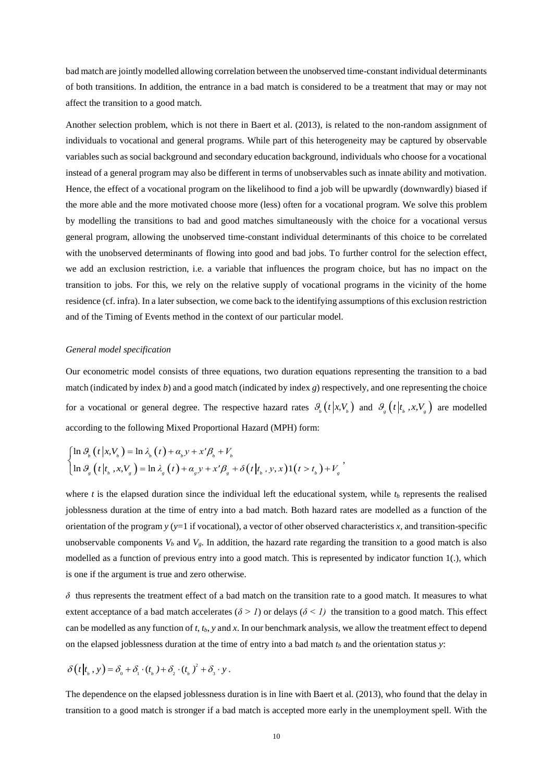bad match are jointly modelled allowing correlation between the unobserved time-constant individual determinants of both transitions. In addition, the entrance in a bad match is considered to be a treatment that may or may not affect the transition to a good match.

Another selection problem, which is not there in Baert et al. (2013), is related to the non-random assignment of individuals to vocational and general programs. While part of this heterogeneity may be captured by observable variables such as social background and secondary education background, individuals who choose for a vocational instead of a general program may also be different in terms of unobservables such as innate ability and motivation. Hence, the effect of a vocational program on the likelihood to find a job will be upwardly (downwardly) biased if the more able and the more motivated choose more (less) often for a vocational program. We solve this problem by modelling the transitions to bad and good matches simultaneously with the choice for a vocational versus general program, allowing the unobserved time-constant individual determinants of this choice to be correlated with the unobserved determinants of flowing into good and bad jobs. To further control for the selection effect, we add an exclusion restriction, i.e. a variable that influences the program choice, but has no impact on the transition to jobs. For this, we rely on the relative supply of vocational programs in the vicinity of the home residence (cf. infra). In a later subsection, we come back to the identifying assumptions of this exclusion restriction and of the Timing of Events method in the context of our particular model.

#### *General model specification*

Our econometric model consists of three equations, two duration equations representing the transition to a bad match (indicated by index *b*) and a good match (indicated by index *g*) respectively, and one representing the choice for a vocational or general degree. The respective hazard rates  $\theta_b(t|x, V_b)$  and  $\theta_g(t|t_b, x, V_g)$  are modelled

according to the following Mixed Proportional Hazard (MPH) form:  
\n
$$
\begin{cases}\n\ln \vartheta_h(t|x, V_b) = \ln \lambda_b(t) + \alpha_b y + x' \beta_b + V_b \\
\ln \vartheta_s(t|t_b, x, V_s) = \ln \lambda_s(t) + \alpha_s y + x' \beta_s + \delta(t|t_b, y, x)1(t > t_b) + V_s\n\end{cases}
$$

where  $t$  is the elapsed duration since the individual left the educational system, while  $t<sub>b</sub>$  represents the realised joblessness duration at the time of entry into a bad match. Both hazard rates are modelled as a function of the orientation of the program  $y$  ( $y=1$  if vocational), a vector of other observed characteristics  $x$ , and transition-specific unobservable components  $V_b$  and  $V_g$ . In addition, the hazard rate regarding the transition to a good match is also modelled as a function of previous entry into a good match. This is represented by indicator function 1(.), which is one if the argument is true and zero otherwise.

*δ* thus represents the treatment effect of a bad match on the transition rate to a good match. It measures to what extent acceptance of a bad match accelerates ( $\delta > 1$ ) or delays ( $\delta < 1$ ) the transition to a good match. This effect can be modelled as any function of *t*, *tb*, *y* and *x*. In our benchmark analysis, we allow the treatment effect to depend on the elapsed joblessness duration at the time of entry into a bad match *t<sup>b</sup>* and the orientation status *y*:

$$
\delta(t|t_b, y) = \delta_0 + \delta_1 \cdot (t_b) + \delta_2 \cdot (t_b)^2 + \delta_3 \cdot y.
$$

The dependence on the elapsed joblessness duration is in line with Baert et al. (2013), who found that the delay in transition to a good match is stronger if a bad match is accepted more early in the unemployment spell. With the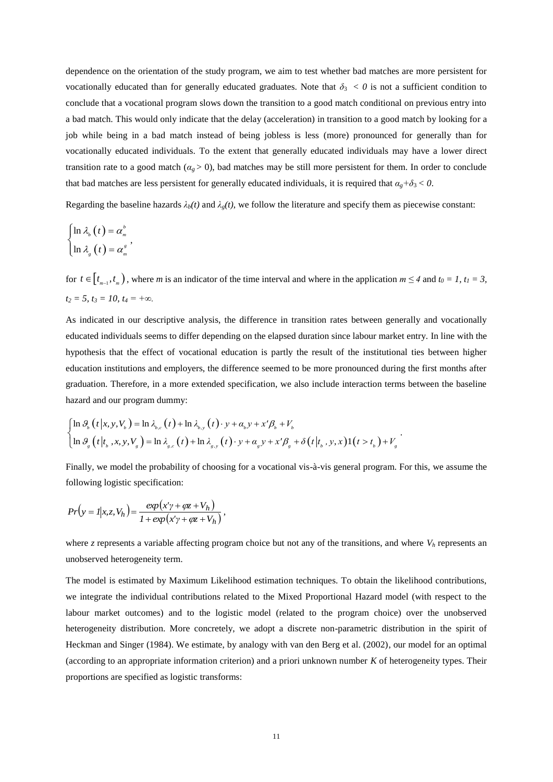dependence on the orientation of the study program, we aim to test whether bad matches are more persistent for vocationally educated than for generally educated graduates. Note that  $\delta_3 < 0$  is not a sufficient condition to conclude that a vocational program slows down the transition to a good match conditional on previous entry into a bad match. This would only indicate that the delay (acceleration) in transition to a good match by looking for a job while being in a bad match instead of being jobless is less (more) pronounced for generally than for vocationally educated individuals. To the extent that generally educated individuals may have a lower direct transition rate to a good match ( $\alpha_g > 0$ ), bad matches may be still more persistent for them. In order to conclude that bad matches are less persistent for generally educated individuals, it is required that  $\alpha_g + \delta_3 < 0$ .

Regarding the baseline hazards  $\lambda_b(t)$  and  $\lambda_g(t)$ , we follow the literature and specify them as piecewise constant:

$$
\begin{cases} \ln \lambda_{_{b}}\left(t\right) = \alpha_{_{m}}^{^{b}} \\ \ln \lambda_{_{g}}\left(t\right) = \alpha_{_{m}}^{^{s}} \end{cases}
$$

for  $t \in [t_{m-1}, t_m)$ , where *m* is an indicator of the time interval and where in the application  $m \le 4$  and  $t_0 = 1$ ,  $t_1 = 3$ ,  $t_2 = 5$ ,  $t_3 = 10$ ,  $t_4 = +\infty$ .

As indicated in our descriptive analysis, the difference in transition rates between generally and vocationally educated individuals seems to differ depending on the elapsed duration since labour market entry. In line with the hypothesis that the effect of vocational education is partly the result of the institutional ties between higher education institutions and employers, the difference seemed to be more pronounced during the first months after graduation. Therefore, in a more extended specification, we also include interaction terms between the baseline hazard and our program dummy: and our program dummy:<br>  $\theta_b(t|x, y, V_b) = \ln \lambda_{b,c}(t) + \ln \lambda_{b,y}(t) \cdot y + \alpha_b y + x' \beta_b + V_b$ gram dummy:<br>=  $\ln \lambda_{b,c}(t) + \ln \lambda_{b,y}(t) \cdot y + \alpha_b y + x' \beta_b + V_b$ 

hazard and our program dummy:  
\n
$$
\begin{cases}\n\ln \theta_b(t|x, y, V_b) = \ln \lambda_{b,c}(t) + \ln \lambda_{b,y}(t) \cdot y + \alpha_b y + x' \beta_b + V_b \\
\ln \theta_s(t|t_b, x, y, V_s) = \ln \lambda_{s,c}(t) + \ln \lambda_{s,y}(t) \cdot y + \alpha_s y + x' \beta_s + \delta(t|t_b, y, x)1(t > t_b) + V_s\n\end{cases}
$$

Finally, we model the probability of choosing for a vocational vis-à-vis general program. For this, we assume the following logistic specification:

$$
Pr(y = I | x, z, V_h) = \frac{exp(x'\gamma + \varphi z + V_h)}{1 + exp(x'\gamma + \varphi z + V_h)},
$$

where *z* represents a variable affecting program choice but not any of the transitions, and where  $V_h$  represents an unobserved heterogeneity term.

The model is estimated by Maximum Likelihood estimation techniques. To obtain the likelihood contributions, we integrate the individual contributions related to the Mixed Proportional Hazard model (with respect to the labour market outcomes) and to the logistic model (related to the program choice) over the unobserved heterogeneity distribution. More concretely, we adopt a discrete non-parametric distribution in the spirit of Heckman and Singer (1984). We estimate, by analogy with van den Berg et al. (2002), our model for an optimal (according to an appropriate information criterion) and a priori unknown number *K* of heterogeneity types. Their proportions are specified as logistic transforms: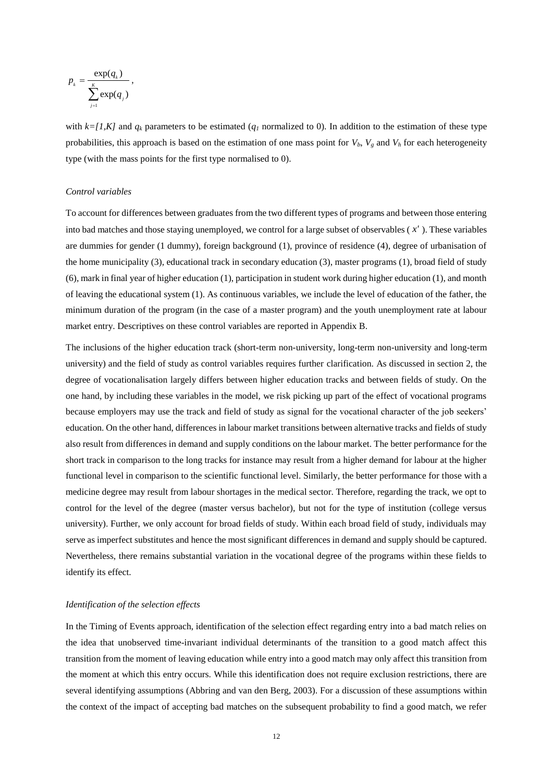$$
p_{k} = \frac{\exp(q_{k})}{\sum_{j=1}^{K} \exp(q_{j})},
$$

with  $k=[1,K]$  and  $q_k$  parameters to be estimated ( $q_l$  normalized to 0). In addition to the estimation of these type probabilities, this approach is based on the estimation of one mass point for  $V_b$ ,  $V_g$  and  $V_h$  for each heterogeneity type (with the mass points for the first type normalised to 0).

#### *Control variables*

To account for differences between graduates from the two different types of programs and between those entering into bad matches and those staying unemployed, we control for a large subset of observables ( *x'* ). These variables are dummies for gender (1 dummy), foreign background (1), province of residence (4), degree of urbanisation of the home municipality (3), educational track in secondary education (3), master programs (1), broad field of study (6), mark in final year of higher education (1), participation in student work during higher education (1), and month of leaving the educational system (1). As continuous variables, we include the level of education of the father, the minimum duration of the program (in the case of a master program) and the youth unemployment rate at labour market entry. Descriptives on these control variables are reported in Appendix B.

The inclusions of the higher education track (short-term non-university, long-term non-university and long-term university) and the field of study as control variables requires further clarification. As discussed in section 2, the degree of vocationalisation largely differs between higher education tracks and between fields of study. On the one hand, by including these variables in the model, we risk picking up part of the effect of vocational programs because employers may use the track and field of study as signal for the vocational character of the job seekers' education. On the other hand, differences in labour market transitions between alternative tracks and fields of study also result from differences in demand and supply conditions on the labour market. The better performance for the short track in comparison to the long tracks for instance may result from a higher demand for labour at the higher functional level in comparison to the scientific functional level. Similarly, the better performance for those with a medicine degree may result from labour shortages in the medical sector. Therefore, regarding the track, we opt to control for the level of the degree (master versus bachelor), but not for the type of institution (college versus university). Further, we only account for broad fields of study. Within each broad field of study, individuals may serve as imperfect substitutes and hence the most significant differences in demand and supply should be captured. Nevertheless, there remains substantial variation in the vocational degree of the programs within these fields to identify its effect.

#### *Identification of the selection effects*

In the Timing of Events approach, identification of the selection effect regarding entry into a bad match relies on the idea that unobserved time-invariant individual determinants of the transition to a good match affect this transition from the moment of leaving education while entry into a good match may only affect this transition from the moment at which this entry occurs. While this identification does not require exclusion restrictions, there are several identifying assumptions (Abbring and van den Berg, 2003). For a discussion of these assumptions within the context of the impact of accepting bad matches on the subsequent probability to find a good match, we refer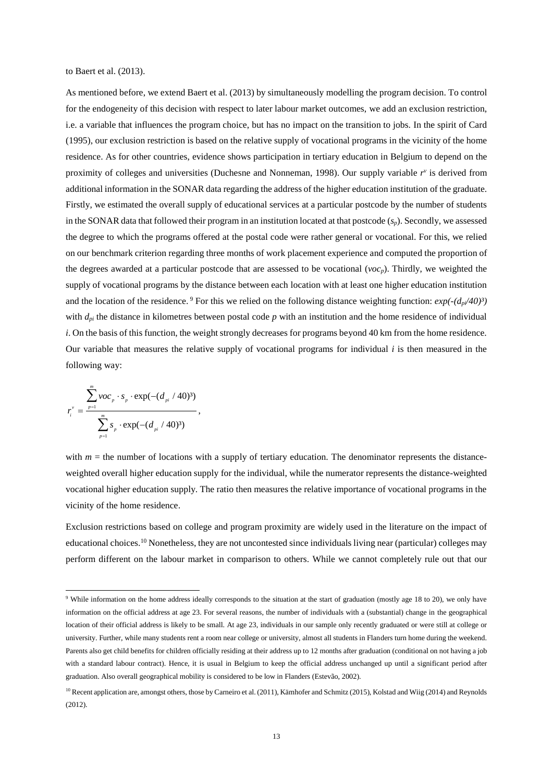to Baert et al. (2013).

As mentioned before, we extend Baert et al. (2013) by simultaneously modelling the program decision. To control for the endogeneity of this decision with respect to later labour market outcomes, we add an exclusion restriction, i.e. a variable that influences the program choice, but has no impact on the transition to jobs. In the spirit of Card (1995), our exclusion restriction is based on the relative supply of vocational programs in the vicinity of the home residence. As for other countries, evidence shows participation in tertiary education in Belgium to depend on the proximity of colleges and universities (Duchesne and Nonneman, 1998). Our supply variable *r v* is derived from additional information in the SONAR data regarding the address of the higher education institution of the graduate. Firstly, we estimated the overall supply of educational services at a particular postcode by the number of students in the SONAR data that followed their program in an institution located at that postcode (*sp*). Secondly, we assessed the degree to which the programs offered at the postal code were rather general or vocational. For this, we relied on our benchmark criterion regarding three months of work placement experience and computed the proportion of the degrees awarded at a particular postcode that are assessed to be vocational (*vocp*). Thirdly, we weighted the supply of vocational programs by the distance between each location with at least one higher education institution and the location of the residence. <sup>9</sup> For this we relied on the following distance weighting function:  $exp(-(d_p/40)^3)$ with  $d_{pi}$  the distance in kilometres between postal code  $p$  with an institution and the home residence of individual *i*. On the basis of this function, the weight strongly decreases for programs beyond 40 km from the home residence. Our variable that measures the relative supply of vocational programs for individual *i* is then measured in the following way:

$$
r_i^{\nu} = \frac{\sum_{p=1}^m \nu o c_p \cdot s_p \cdot \exp(-(d_{pi}/40)^3)}{\sum_{p=1}^m s_p \cdot \exp(-(d_{pi}/40)^3)},
$$

1

with  $m =$  the number of locations with a supply of tertiary education. The denominator represents the distanceweighted overall higher education supply for the individual, while the numerator represents the distance-weighted vocational higher education supply. The ratio then measures the relative importance of vocational programs in the vicinity of the home residence.

Exclusion restrictions based on college and program proximity are widely used in the literature on the impact of educational choices.<sup>10</sup> Nonetheless, they are not uncontested since individuals living near (particular) colleges may perform different on the labour market in comparison to others. While we cannot completely rule out that our

<sup>9</sup> While information on the home address ideally corresponds to the situation at the start of graduation (mostly age 18 to 20), we only have information on the official address at age 23. For several reasons, the number of individuals with a (substantial) change in the geographical location of their official address is likely to be small. At age 23, individuals in our sample only recently graduated or were still at college or university. Further, while many students rent a room near college or university, almost all students in Flanders turn home during the weekend. Parents also get child benefits for children officially residing at their address up to 12 months after graduation (conditional on not having a job with a standard labour contract). Hence, it is usual in Belgium to keep the official address unchanged up until a significant period after graduation. Also overall geographical mobility is considered to be low in Flanders (Estevão, 2002).

<sup>&</sup>lt;sup>10</sup> Recent application are, amongst others, those by Carneiro et al. (2011), Kämhofer and Schmitz (2015), Kolstad and Wiig (2014) and Reynolds (2012).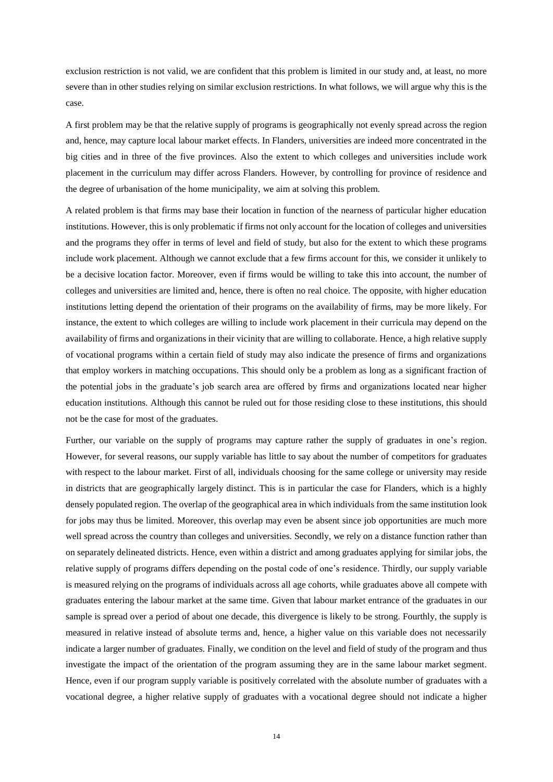exclusion restriction is not valid, we are confident that this problem is limited in our study and, at least, no more severe than in other studies relying on similar exclusion restrictions. In what follows, we will argue why this is the case.

A first problem may be that the relative supply of programs is geographically not evenly spread across the region and, hence, may capture local labour market effects. In Flanders, universities are indeed more concentrated in the big cities and in three of the five provinces. Also the extent to which colleges and universities include work placement in the curriculum may differ across Flanders. However, by controlling for province of residence and the degree of urbanisation of the home municipality, we aim at solving this problem.

A related problem is that firms may base their location in function of the nearness of particular higher education institutions. However, this is only problematic if firms not only account for the location of colleges and universities and the programs they offer in terms of level and field of study, but also for the extent to which these programs include work placement. Although we cannot exclude that a few firms account for this, we consider it unlikely to be a decisive location factor. Moreover, even if firms would be willing to take this into account, the number of colleges and universities are limited and, hence, there is often no real choice. The opposite, with higher education institutions letting depend the orientation of their programs on the availability of firms, may be more likely. For instance, the extent to which colleges are willing to include work placement in their curricula may depend on the availability of firms and organizations in their vicinity that are willing to collaborate. Hence, a high relative supply of vocational programs within a certain field of study may also indicate the presence of firms and organizations that employ workers in matching occupations. This should only be a problem as long as a significant fraction of the potential jobs in the graduate's job search area are offered by firms and organizations located near higher education institutions. Although this cannot be ruled out for those residing close to these institutions, this should not be the case for most of the graduates.

Further, our variable on the supply of programs may capture rather the supply of graduates in one's region. However, for several reasons, our supply variable has little to say about the number of competitors for graduates with respect to the labour market. First of all, individuals choosing for the same college or university may reside in districts that are geographically largely distinct. This is in particular the case for Flanders, which is a highly densely populated region. The overlap of the geographical area in which individuals from the same institution look for jobs may thus be limited. Moreover, this overlap may even be absent since job opportunities are much more well spread across the country than colleges and universities. Secondly, we rely on a distance function rather than on separately delineated districts. Hence, even within a district and among graduates applying for similar jobs, the relative supply of programs differs depending on the postal code of one's residence. Thirdly, our supply variable is measured relying on the programs of individuals across all age cohorts, while graduates above all compete with graduates entering the labour market at the same time. Given that labour market entrance of the graduates in our sample is spread over a period of about one decade, this divergence is likely to be strong. Fourthly, the supply is measured in relative instead of absolute terms and, hence, a higher value on this variable does not necessarily indicate a larger number of graduates. Finally, we condition on the level and field of study of the program and thus investigate the impact of the orientation of the program assuming they are in the same labour market segment. Hence, even if our program supply variable is positively correlated with the absolute number of graduates with a vocational degree, a higher relative supply of graduates with a vocational degree should not indicate a higher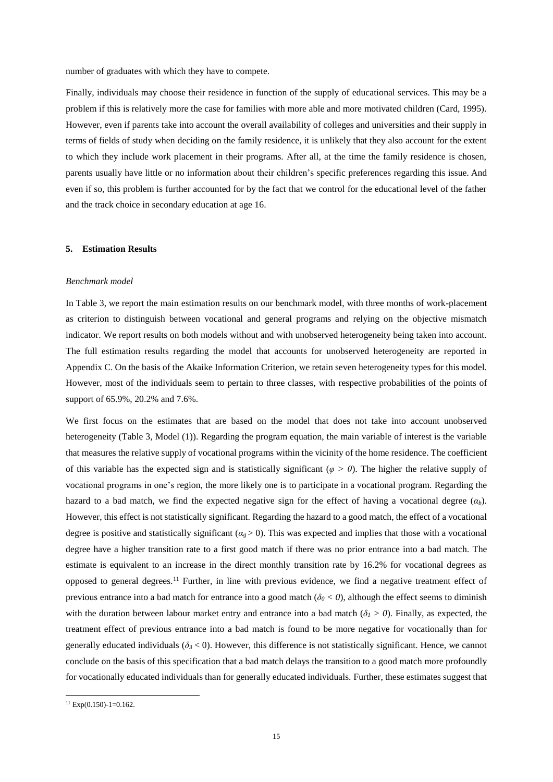number of graduates with which they have to compete.

Finally, individuals may choose their residence in function of the supply of educational services. This may be a problem if this is relatively more the case for families with more able and more motivated children (Card, 1995). However, even if parents take into account the overall availability of colleges and universities and their supply in terms of fields of study when deciding on the family residence, it is unlikely that they also account for the extent to which they include work placement in their programs. After all, at the time the family residence is chosen, parents usually have little or no information about their children's specific preferences regarding this issue. And even if so, this problem is further accounted for by the fact that we control for the educational level of the father and the track choice in secondary education at age 16.

#### **5. Estimation Results**

#### *Benchmark model*

In Table 3, we report the main estimation results on our benchmark model, with three months of work-placement as criterion to distinguish between vocational and general programs and relying on the objective mismatch indicator. We report results on both models without and with unobserved heterogeneity being taken into account. The full estimation results regarding the model that accounts for unobserved heterogeneity are reported in Appendix C. On the basis of the Akaike Information Criterion, we retain seven heterogeneity types for this model. However, most of the individuals seem to pertain to three classes, with respective probabilities of the points of support of 65.9%, 20.2% and 7.6%.

We first focus on the estimates that are based on the model that does not take into account unobserved heterogeneity (Table 3, Model (1)). Regarding the program equation, the main variable of interest is the variable that measures the relative supply of vocational programs within the vicinity of the home residence. The coefficient of this variable has the expected sign and is statistically significant ( $\varphi > 0$ ). The higher the relative supply of vocational programs in one's region, the more likely one is to participate in a vocational program. Regarding the hazard to a bad match, we find the expected negative sign for the effect of having a vocational degree  $(a_b)$ . However, this effect is not statistically significant. Regarding the hazard to a good match, the effect of a vocational degree is positive and statistically significant ( $\alpha_g > 0$ ). This was expected and implies that those with a vocational degree have a higher transition rate to a first good match if there was no prior entrance into a bad match. The estimate is equivalent to an increase in the direct monthly transition rate by 16.2% for vocational degrees as opposed to general degrees.<sup>11</sup> Further, in line with previous evidence, we find a negative treatment effect of previous entrance into a bad match for entrance into a good match ( $\delta$ <sup>0</sup>  $<$  0), although the effect seems to diminish with the duration between labour market entry and entrance into a bad match  $(\delta_I > 0)$ . Finally, as expected, the treatment effect of previous entrance into a bad match is found to be more negative for vocationally than for generally educated individuals ( $\delta$ <sup>3</sup> < 0). However, this difference is not statistically significant. Hence, we cannot conclude on the basis of this specification that a bad match delays the transition to a good match more profoundly for vocationally educated individuals than for generally educated individuals. Further, these estimates suggest that

**.** 

 $11$  Exp(0.150)-1=0.162.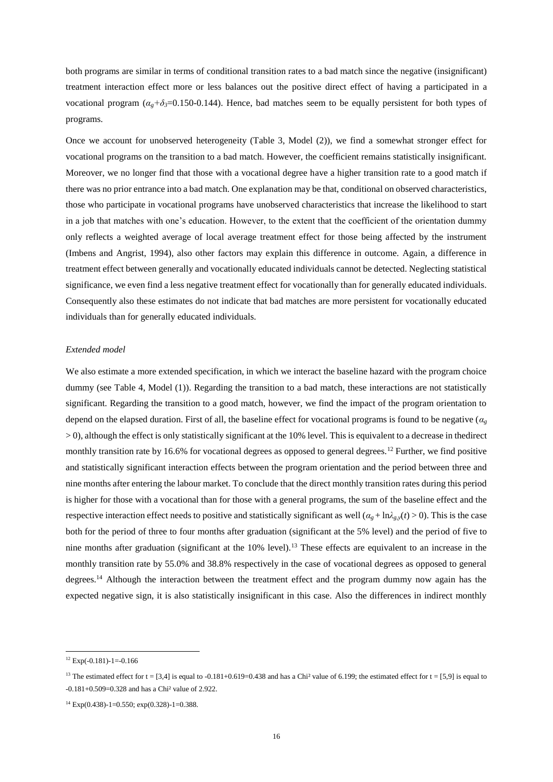both programs are similar in terms of conditional transition rates to a bad match since the negative (insignificant) treatment interaction effect more or less balances out the positive direct effect of having a participated in a vocational program ( $\alpha_g + \delta_3 = 0.150 - 0.144$ ). Hence, bad matches seem to be equally persistent for both types of programs.

Once we account for unobserved heterogeneity (Table 3, Model (2)), we find a somewhat stronger effect for vocational programs on the transition to a bad match. However, the coefficient remains statistically insignificant. Moreover, we no longer find that those with a vocational degree have a higher transition rate to a good match if there was no prior entrance into a bad match. One explanation may be that, conditional on observed characteristics, those who participate in vocational programs have unobserved characteristics that increase the likelihood to start in a job that matches with one's education. However, to the extent that the coefficient of the orientation dummy only reflects a weighted average of local average treatment effect for those being affected by the instrument (Imbens and Angrist, 1994), also other factors may explain this difference in outcome. Again, a difference in treatment effect between generally and vocationally educated individuals cannot be detected. Neglecting statistical significance, we even find a less negative treatment effect for vocationally than for generally educated individuals. Consequently also these estimates do not indicate that bad matches are more persistent for vocationally educated individuals than for generally educated individuals.

#### *Extended model*

We also estimate a more extended specification, in which we interact the baseline hazard with the program choice dummy (see Table 4, Model (1)). Regarding the transition to a bad match, these interactions are not statistically significant. Regarding the transition to a good match, however, we find the impact of the program orientation to depend on the elapsed duration. First of all, the baseline effect for vocational programs is found to be negative (*α<sup>g</sup>*  $> 0$ ), although the effect is only statistically significant at the 10% level. This is equivalent to a decrease in thedirect monthly transition rate by 16.6% for vocational degrees as opposed to general degrees.<sup>12</sup> Further, we find positive and statistically significant interaction effects between the program orientation and the period between three and nine months after entering the labour market. To conclude that the direct monthly transition rates during this period is higher for those with a vocational than for those with a general programs, the sum of the baseline effect and the respective interaction effect needs to positive and statistically significant as well  $(a_g + \ln \lambda_g)(t) > 0$ . This is the case both for the period of three to four months after graduation (significant at the 5% level) and the period of five to nine months after graduation (significant at the  $10\%$  level).<sup>13</sup> These effects are equivalent to an increase in the monthly transition rate by 55.0% and 38.8% respectively in the case of vocational degrees as opposed to general degrees.<sup>14</sup> Although the interaction between the treatment effect and the program dummy now again has the expected negative sign, it is also statistically insignificant in this case. Also the differences in indirect monthly

1

 $12$  Exp(-0.181)-1=-0.166

<sup>&</sup>lt;sup>13</sup> The estimated effect for t = [3,4] is equal to -0.181+0.619=0.438 and has a Chi<sup>2</sup> value of 6.199; the estimated effect for t = [5,9] is equal to  $-0.181+0.509=0.328$  and has a Chi<sup>2</sup> value of 2.922.

 $14$  Exp(0.438)-1=0.550; exp(0.328)-1=0.388.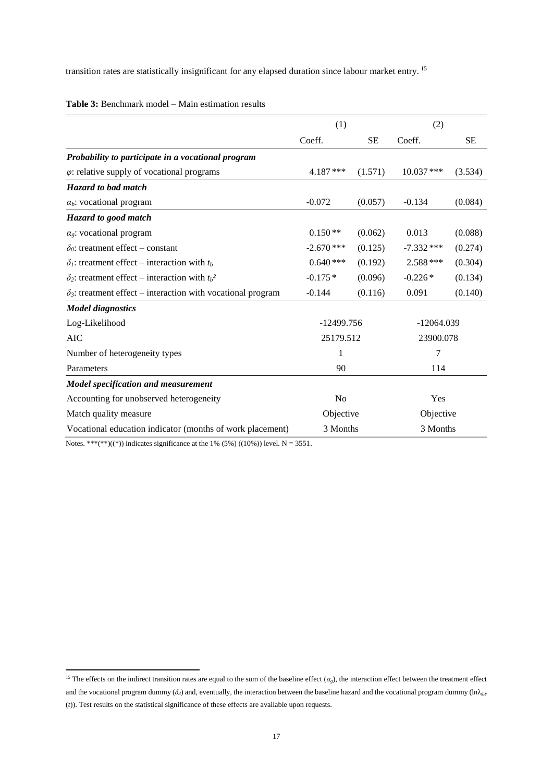transition rates are statistically insignificant for any elapsed duration since labour market entry. <sup>15</sup>

|                                                                     | (1)            |           | (2)          |          |  |
|---------------------------------------------------------------------|----------------|-----------|--------------|----------|--|
|                                                                     | Coeff.         | <b>SE</b> | Coeff.       | $\rm SE$ |  |
| Probability to participate in a vocational program                  |                |           |              |          |  |
| $\varphi$ : relative supply of vocational programs                  | 4.187***       | (1.571)   | $10.037$ *** | (3.534)  |  |
| Hazard to bad match                                                 |                |           |              |          |  |
| $\alpha_b$ : vocational program                                     | $-0.072$       | (0.057)   | $-0.134$     | (0.084)  |  |
| Hazard to good match                                                |                |           |              |          |  |
| $\alpha_{g}$ : vocational program                                   | $0.150**$      | (0.062)   | 0.013        | (0.088)  |  |
| $\delta_0$ : treatment effect – constant                            | $-2.670$ ***   | (0.125)   | $-7.332$ *** | (0.274)  |  |
| $\delta_l$ : treatment effect – interaction with $t_b$              | $0.640***$     | (0.192)   | 2.588 ***    | (0.304)  |  |
| $\delta_2$ : treatment effect – interaction with $t_b^2$            | $-0.175*$      | (0.096)   | $-0.226*$    | (0.134)  |  |
| $\delta_3$ : treatment effect – interaction with vocational program | $-0.144$       | (0.116)   | 0.091        | (0.140)  |  |
| <b>Model diagnostics</b>                                            |                |           |              |          |  |
| Log-Likelihood                                                      | $-12499.756$   |           | $-12064.039$ |          |  |
| <b>AIC</b>                                                          | 25179.512      |           | 23900.078    |          |  |
| Number of heterogeneity types                                       | 1              |           | 7            |          |  |
| Parameters                                                          | 90             |           | 114          |          |  |
| Model specification and measurement                                 |                |           |              |          |  |
| Accounting for unobserved heterogeneity                             | N <sub>o</sub> |           | Yes          |          |  |
| Match quality measure                                               | Objective      |           | Objective    |          |  |
| Vocational education indicator (months of work placement)           | 3 Months       |           | 3 Months     |          |  |

**Table 3:** Benchmark model – Main estimation results

Notes. \*\*\*(\*\*)((\*)) indicates significance at the 1% (5%) ((10%)) level. N = 3551.

1

<sup>&</sup>lt;sup>15</sup> The effects on the indirect transition rates are equal to the sum of the baseline effect  $(\alpha_g)$ , the interaction effect between the treatment effect and the vocational program dummy ( $\delta$ *<sub>3</sub>*) and, eventually, the interaction between the baseline hazard and the vocational program dummy (ln $\lambda_{g,y}$ (*t*)). Test results on the statistical significance of these effects are available upon requests.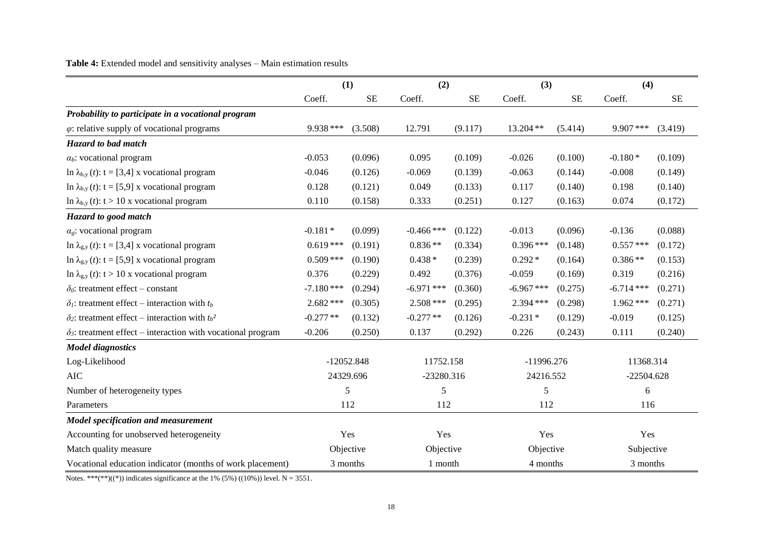Table 4: Extended model and sensitivity analyses - Main estimation results

|                                                                     |              | (1)          |              | (2)       |              | (3)       | (4)          |         |
|---------------------------------------------------------------------|--------------|--------------|--------------|-----------|--------------|-----------|--------------|---------|
|                                                                     | Coeff.       | <b>SE</b>    | Coeff.       | <b>SE</b> | Coeff.       | <b>SE</b> | Coeff.       | SE      |
| Probability to participate in a vocational program                  |              |              |              |           |              |           |              |         |
| $\varphi$ : relative supply of vocational programs                  | 9.938 ***    | (3.508)      | 12.791       | (9.117)   | 13.204 **    | (5.414)   | $9.907$ ***  | (3.419) |
| Hazard to bad match                                                 |              |              |              |           |              |           |              |         |
| $\alpha_b$ : vocational program                                     | $-0.053$     | (0.096)      | 0.095        | (0.109)   | $-0.026$     | (0.100)   | $-0.180*$    | (0.109) |
| ln $\lambda_{b,y}(t)$ : t = [3,4] x vocational program              | $-0.046$     | (0.126)      | $-0.069$     | (0.139)   | $-0.063$     | (0.144)   | $-0.008$     | (0.149) |
| ln $\lambda_{b,y}(t)$ : t = [5,9] x vocational program              | 0.128        | (0.121)      | 0.049        | (0.133)   | 0.117        | (0.140)   | 0.198        | (0.140) |
| ln $\lambda_{b,y}$ (t): t > 10 x vocational program                 | 0.110        | (0.158)      | 0.333        | (0.251)   | 0.127        | (0.163)   | 0.074        | (0.172) |
| Hazard to good match                                                |              |              |              |           |              |           |              |         |
| $\alpha_{\rm g}$ : vocational program                               | $-0.181*$    | (0.099)      | $-0.466$ *** | (0.122)   | $-0.013$     | (0.096)   | $-0.136$     | (0.088) |
| ln $\lambda_{g,y}(t)$ : t = [3,4] x vocational program              | $0.619***$   | (0.191)      | $0.836**$    | (0.334)   | $0.396***$   | (0.148)   | $0.557$ ***  | (0.172) |
| ln $\lambda_{g,y}(t)$ : t = [5,9] x vocational program              | $0.509$ ***  | (0.190)      | $0.438*$     | (0.239)   | $0.292*$     | (0.164)   | $0.386**$    | (0.153) |
| ln $\lambda_{g,y}(t)$ : t > 10 x vocational program                 | 0.376        | (0.229)      | 0.492        | (0.376)   | $-0.059$     | (0.169)   | 0.319        | (0.216) |
| $\delta_0$ : treatment effect – constant                            | $-7.180$ *** | (0.294)      | $-6.971$ *** | (0.360)   | $-6.967$ *** | (0.275)   | $-6.714$ *** | (0.271) |
| $\delta_l$ : treatment effect – interaction with $t_b$              | $2.682$ ***  | (0.305)      | $2.508$ ***  | (0.295)   | 2.394 ***    | (0.298)   | $1.962***$   | (0.271) |
| $\delta_2$ : treatment effect – interaction with $t_b^2$            | $-0.277**$   | (0.132)      | $-0.277**$   | (0.126)   | $-0.231*$    | (0.129)   | $-0.019$     | (0.125) |
| $\delta_3$ : treatment effect – interaction with vocational program | $-0.206$     | (0.250)      | 0.137        | (0.292)   | 0.226        | (0.243)   | 0.111        | (0.240) |
| <b>Model diagnostics</b>                                            |              |              |              |           |              |           |              |         |
| Log-Likelihood                                                      |              | $-12052.848$ | 11752.158    |           | $-11996.276$ |           | 11368.314    |         |
| <b>AIC</b>                                                          |              | 24329.696    | $-23280.316$ |           | 24216.552    |           | $-22504.628$ |         |
| Number of heterogeneity types                                       |              | 5            | 5            |           | 5            |           | 6            |         |
| Parameters                                                          |              | 112          | 112          |           | 112          |           | 116          |         |
| Model specification and measurement                                 |              |              |              |           |              |           |              |         |
| Accounting for unobserved heterogeneity                             |              | Yes          | Yes          |           | Yes          |           | Yes          |         |
| Match quality measure                                               |              | Objective    | Objective    |           | Objective    |           | Subjective   |         |
| Vocational education indicator (months of work placement)           |              | 3 months     | 1 month      |           | 4 months     |           | 3 months     |         |

Notes. \*\*\*(\*\*)((\*)) indicates significance at the 1% (5%) ((10%)) level. N = 3551.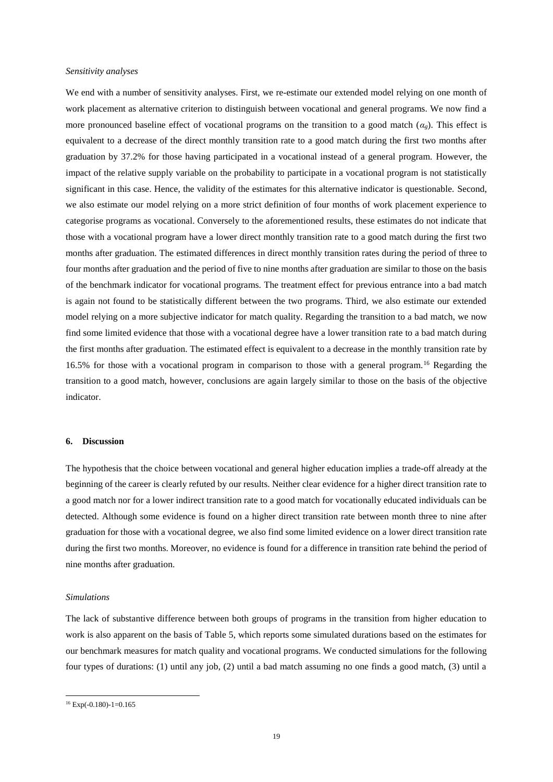#### *Sensitivity analyses*

We end with a number of sensitivity analyses. First, we re-estimate our extended model relying on one month of work placement as alternative criterion to distinguish between vocational and general programs. We now find a more pronounced baseline effect of vocational programs on the transition to a good match  $(a<sub>g</sub>)$ . This effect is equivalent to a decrease of the direct monthly transition rate to a good match during the first two months after graduation by 37.2% for those having participated in a vocational instead of a general program. However, the impact of the relative supply variable on the probability to participate in a vocational program is not statistically significant in this case. Hence, the validity of the estimates for this alternative indicator is questionable. Second, we also estimate our model relying on a more strict definition of four months of work placement experience to categorise programs as vocational. Conversely to the aforementioned results, these estimates do not indicate that those with a vocational program have a lower direct monthly transition rate to a good match during the first two months after graduation. The estimated differences in direct monthly transition rates during the period of three to four months after graduation and the period of five to nine months after graduation are similar to those on the basis of the benchmark indicator for vocational programs. The treatment effect for previous entrance into a bad match is again not found to be statistically different between the two programs. Third, we also estimate our extended model relying on a more subjective indicator for match quality. Regarding the transition to a bad match, we now find some limited evidence that those with a vocational degree have a lower transition rate to a bad match during the first months after graduation. The estimated effect is equivalent to a decrease in the monthly transition rate by 16.5% for those with a vocational program in comparison to those with a general program.<sup>16</sup> Regarding the transition to a good match, however, conclusions are again largely similar to those on the basis of the objective indicator.

#### **6. Discussion**

The hypothesis that the choice between vocational and general higher education implies a trade-off already at the beginning of the career is clearly refuted by our results. Neither clear evidence for a higher direct transition rate to a good match nor for a lower indirect transition rate to a good match for vocationally educated individuals can be detected. Although some evidence is found on a higher direct transition rate between month three to nine after graduation for those with a vocational degree, we also find some limited evidence on a lower direct transition rate during the first two months. Moreover, no evidence is found for a difference in transition rate behind the period of nine months after graduation.

#### *Simulations*

The lack of substantive difference between both groups of programs in the transition from higher education to work is also apparent on the basis of Table 5, which reports some simulated durations based on the estimates for our benchmark measures for match quality and vocational programs. We conducted simulations for the following four types of durations: (1) until any job, (2) until a bad match assuming no one finds a good match, (3) until a

**.** 

 $16$  Exp(-0.180)-1=0.165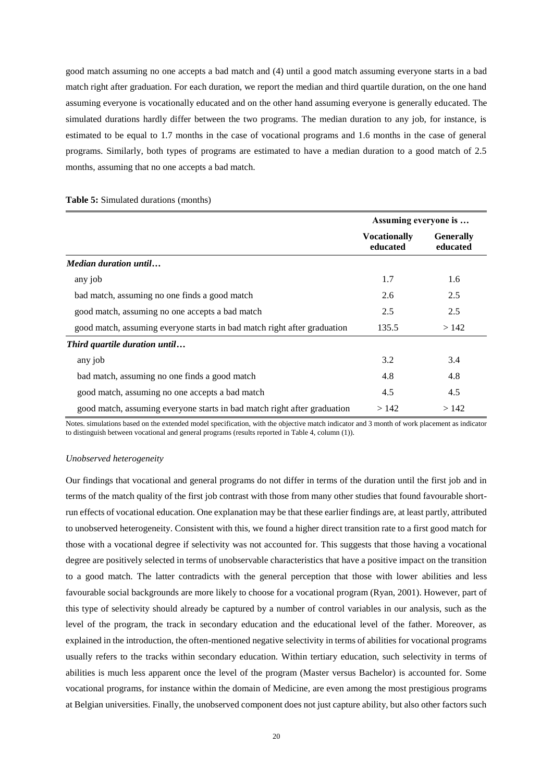good match assuming no one accepts a bad match and (4) until a good match assuming everyone starts in a bad match right after graduation. For each duration, we report the median and third quartile duration, on the one hand assuming everyone is vocationally educated and on the other hand assuming everyone is generally educated. The simulated durations hardly differ between the two programs. The median duration to any job, for instance, is estimated to be equal to 1.7 months in the case of vocational programs and 1.6 months in the case of general programs. Similarly, both types of programs are estimated to have a median duration to a good match of 2.5 months, assuming that no one accepts a bad match.

|  | Table 5: Simulated durations (months) |  |  |
|--|---------------------------------------|--|--|
|--|---------------------------------------|--|--|

|                                                                          | Assuming everyone is            |                              |
|--------------------------------------------------------------------------|---------------------------------|------------------------------|
|                                                                          | <b>Vocationally</b><br>educated | <b>Generally</b><br>educated |
| <i>Median duration until</i>                                             |                                 |                              |
| any job                                                                  | 1.7                             | 1.6                          |
| bad match, assuming no one finds a good match                            | 2.6                             | 2.5                          |
| good match, assuming no one accepts a bad match                          | 2.5                             | 2.5                          |
| good match, assuming everyone starts in bad match right after graduation | 135.5                           | >142                         |
| Third quartile duration until                                            |                                 |                              |
| any job                                                                  | 3.2                             | 3.4                          |
| bad match, assuming no one finds a good match                            | 4.8                             | 4.8                          |
| good match, assuming no one accepts a bad match                          | 4.5                             | 4.5                          |
| good match, assuming everyone starts in bad match right after graduation | >142                            | >142                         |

Notes. simulations based on the extended model specification, with the objective match indicator and 3 month of work placement as indicator to distinguish between vocational and general programs (results reported in Table 4, column (1)).

#### *Unobserved heterogeneity*

Our findings that vocational and general programs do not differ in terms of the duration until the first job and in terms of the match quality of the first job contrast with those from many other studies that found favourable shortrun effects of vocational education. One explanation may be that these earlier findings are, at least partly, attributed to unobserved heterogeneity. Consistent with this, we found a higher direct transition rate to a first good match for those with a vocational degree if selectivity was not accounted for. This suggests that those having a vocational degree are positively selected in terms of unobservable characteristics that have a positive impact on the transition to a good match. The latter contradicts with the general perception that those with lower abilities and less favourable social backgrounds are more likely to choose for a vocational program (Ryan, 2001). However, part of this type of selectivity should already be captured by a number of control variables in our analysis, such as the level of the program, the track in secondary education and the educational level of the father. Moreover, as explained in the introduction, the often-mentioned negative selectivity in terms of abilities for vocational programs usually refers to the tracks within secondary education. Within tertiary education, such selectivity in terms of abilities is much less apparent once the level of the program (Master versus Bachelor) is accounted for. Some vocational programs, for instance within the domain of Medicine, are even among the most prestigious programs at Belgian universities. Finally, the unobserved component does not just capture ability, but also other factors such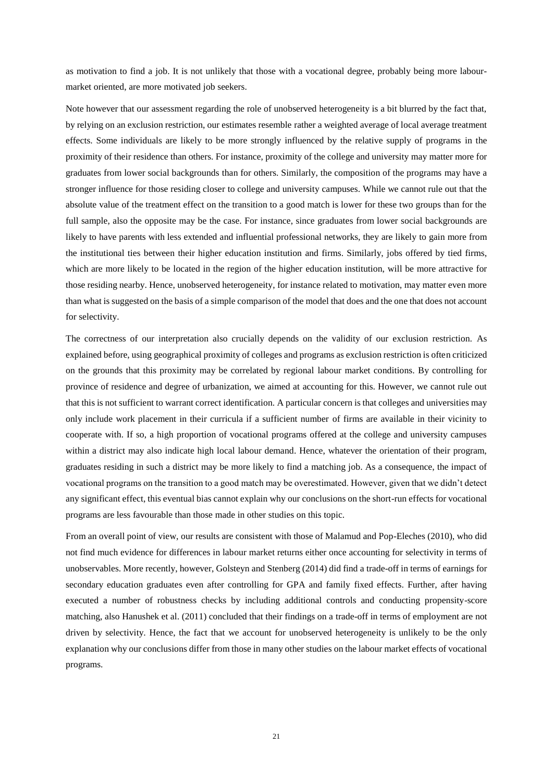as motivation to find a job. It is not unlikely that those with a vocational degree, probably being more labourmarket oriented, are more motivated job seekers.

Note however that our assessment regarding the role of unobserved heterogeneity is a bit blurred by the fact that, by relying on an exclusion restriction, our estimates resemble rather a weighted average of local average treatment effects. Some individuals are likely to be more strongly influenced by the relative supply of programs in the proximity of their residence than others. For instance, proximity of the college and university may matter more for graduates from lower social backgrounds than for others. Similarly, the composition of the programs may have a stronger influence for those residing closer to college and university campuses. While we cannot rule out that the absolute value of the treatment effect on the transition to a good match is lower for these two groups than for the full sample, also the opposite may be the case. For instance, since graduates from lower social backgrounds are likely to have parents with less extended and influential professional networks, they are likely to gain more from the institutional ties between their higher education institution and firms. Similarly, jobs offered by tied firms, which are more likely to be located in the region of the higher education institution, will be more attractive for those residing nearby. Hence, unobserved heterogeneity, for instance related to motivation, may matter even more than what is suggested on the basis of a simple comparison of the model that does and the one that does not account for selectivity.

The correctness of our interpretation also crucially depends on the validity of our exclusion restriction. As explained before, using geographical proximity of colleges and programs as exclusion restriction is often criticized on the grounds that this proximity may be correlated by regional labour market conditions. By controlling for province of residence and degree of urbanization, we aimed at accounting for this. However, we cannot rule out that this is not sufficient to warrant correct identification. A particular concern is that colleges and universities may only include work placement in their curricula if a sufficient number of firms are available in their vicinity to cooperate with. If so, a high proportion of vocational programs offered at the college and university campuses within a district may also indicate high local labour demand. Hence, whatever the orientation of their program, graduates residing in such a district may be more likely to find a matching job. As a consequence, the impact of vocational programs on the transition to a good match may be overestimated. However, given that we didn't detect any significant effect, this eventual bias cannot explain why our conclusions on the short-run effects for vocational programs are less favourable than those made in other studies on this topic.

From an overall point of view, our results are consistent with those of Malamud and Pop-Eleches (2010), who did not find much evidence for differences in labour market returns either once accounting for selectivity in terms of unobservables. More recently, however, Golsteyn and Stenberg (2014) did find a trade-off in terms of earnings for secondary education graduates even after controlling for GPA and family fixed effects. Further, after having executed a number of robustness checks by including additional controls and conducting propensity-score matching, also Hanushek et al. (2011) concluded that their findings on a trade-off in terms of employment are not driven by selectivity. Hence, the fact that we account for unobserved heterogeneity is unlikely to be the only explanation why our conclusions differ from those in many other studies on the labour market effects of vocational programs.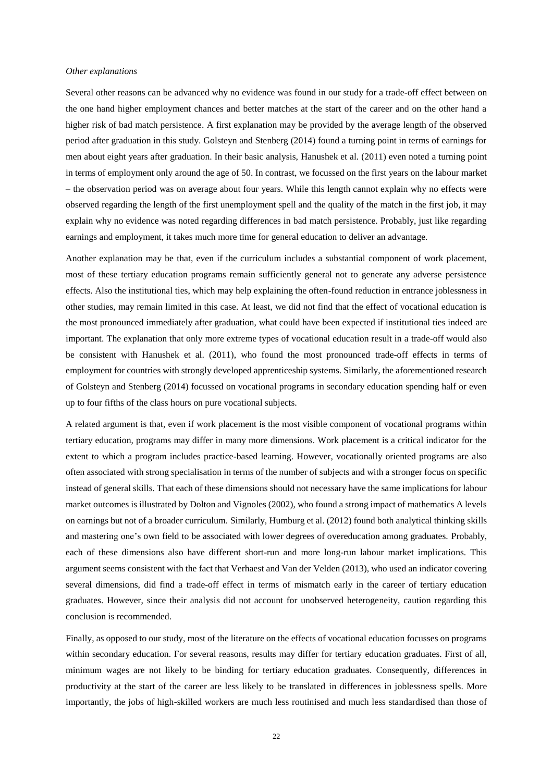#### *Other explanations*

Several other reasons can be advanced why no evidence was found in our study for a trade-off effect between on the one hand higher employment chances and better matches at the start of the career and on the other hand a higher risk of bad match persistence. A first explanation may be provided by the average length of the observed period after graduation in this study. Golsteyn and Stenberg (2014) found a turning point in terms of earnings for men about eight years after graduation. In their basic analysis, Hanushek et al. (2011) even noted a turning point in terms of employment only around the age of 50. In contrast, we focussed on the first years on the labour market – the observation period was on average about four years. While this length cannot explain why no effects were observed regarding the length of the first unemployment spell and the quality of the match in the first job, it may explain why no evidence was noted regarding differences in bad match persistence. Probably, just like regarding earnings and employment, it takes much more time for general education to deliver an advantage.

Another explanation may be that, even if the curriculum includes a substantial component of work placement, most of these tertiary education programs remain sufficiently general not to generate any adverse persistence effects. Also the institutional ties, which may help explaining the often-found reduction in entrance joblessness in other studies, may remain limited in this case. At least, we did not find that the effect of vocational education is the most pronounced immediately after graduation, what could have been expected if institutional ties indeed are important. The explanation that only more extreme types of vocational education result in a trade-off would also be consistent with Hanushek et al. (2011), who found the most pronounced trade-off effects in terms of employment for countries with strongly developed apprenticeship systems. Similarly, the aforementioned research of Golsteyn and Stenberg (2014) focussed on vocational programs in secondary education spending half or even up to four fifths of the class hours on pure vocational subjects.

A related argument is that, even if work placement is the most visible component of vocational programs within tertiary education, programs may differ in many more dimensions. Work placement is a critical indicator for the extent to which a program includes practice-based learning. However, vocationally oriented programs are also often associated with strong specialisation in terms of the number of subjects and with a stronger focus on specific instead of general skills. That each of these dimensions should not necessary have the same implications for labour market outcomes is illustrated by Dolton and Vignoles (2002), who found a strong impact of mathematics A levels on earnings but not of a broader curriculum. Similarly, Humburg et al. (2012) found both analytical thinking skills and mastering one's own field to be associated with lower degrees of overeducation among graduates. Probably, each of these dimensions also have different short-run and more long-run labour market implications. This argument seems consistent with the fact that Verhaest and Van der Velden (2013), who used an indicator covering several dimensions, did find a trade-off effect in terms of mismatch early in the career of tertiary education graduates. However, since their analysis did not account for unobserved heterogeneity, caution regarding this conclusion is recommended.

Finally, as opposed to our study, most of the literature on the effects of vocational education focusses on programs within secondary education. For several reasons, results may differ for tertiary education graduates. First of all, minimum wages are not likely to be binding for tertiary education graduates. Consequently, differences in productivity at the start of the career are less likely to be translated in differences in joblessness spells. More importantly, the jobs of high-skilled workers are much less routinised and much less standardised than those of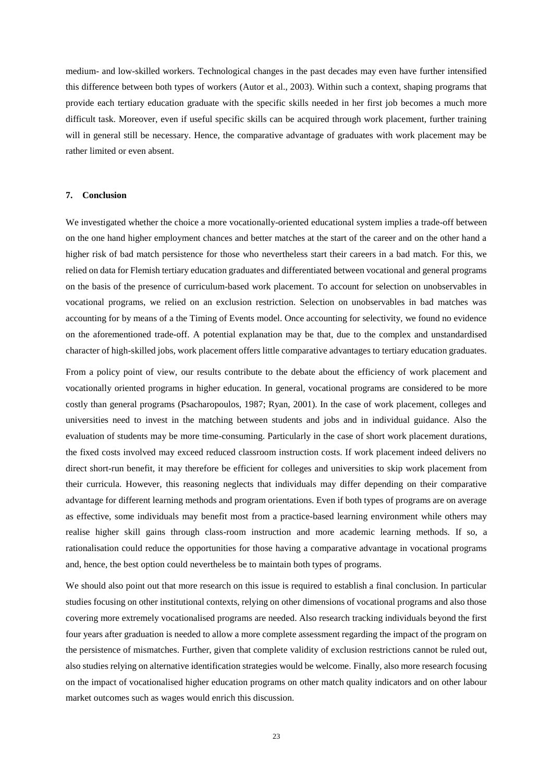medium- and low-skilled workers. Technological changes in the past decades may even have further intensified this difference between both types of workers (Autor et al., 2003). Within such a context, shaping programs that provide each tertiary education graduate with the specific skills needed in her first job becomes a much more difficult task. Moreover, even if useful specific skills can be acquired through work placement, further training will in general still be necessary. Hence, the comparative advantage of graduates with work placement may be rather limited or even absent.

#### **7. Conclusion**

We investigated whether the choice a more vocationally-oriented educational system implies a trade-off between on the one hand higher employment chances and better matches at the start of the career and on the other hand a higher risk of bad match persistence for those who nevertheless start their careers in a bad match. For this, we relied on data for Flemish tertiary education graduates and differentiated between vocational and general programs on the basis of the presence of curriculum-based work placement. To account for selection on unobservables in vocational programs, we relied on an exclusion restriction. Selection on unobservables in bad matches was accounting for by means of a the Timing of Events model. Once accounting for selectivity, we found no evidence on the aforementioned trade-off. A potential explanation may be that, due to the complex and unstandardised character of high-skilled jobs, work placement offers little comparative advantages to tertiary education graduates.

From a policy point of view, our results contribute to the debate about the efficiency of work placement and vocationally oriented programs in higher education. In general, vocational programs are considered to be more costly than general programs (Psacharopoulos, 1987; Ryan, 2001). In the case of work placement, colleges and universities need to invest in the matching between students and jobs and in individual guidance. Also the evaluation of students may be more time-consuming. Particularly in the case of short work placement durations, the fixed costs involved may exceed reduced classroom instruction costs. If work placement indeed delivers no direct short-run benefit, it may therefore be efficient for colleges and universities to skip work placement from their curricula. However, this reasoning neglects that individuals may differ depending on their comparative advantage for different learning methods and program orientations. Even if both types of programs are on average as effective, some individuals may benefit most from a practice-based learning environment while others may realise higher skill gains through class-room instruction and more academic learning methods. If so, a rationalisation could reduce the opportunities for those having a comparative advantage in vocational programs and, hence, the best option could nevertheless be to maintain both types of programs.

We should also point out that more research on this issue is required to establish a final conclusion. In particular studies focusing on other institutional contexts, relying on other dimensions of vocational programs and also those covering more extremely vocationalised programs are needed. Also research tracking individuals beyond the first four years after graduation is needed to allow a more complete assessment regarding the impact of the program on the persistence of mismatches. Further, given that complete validity of exclusion restrictions cannot be ruled out, also studies relying on alternative identification strategies would be welcome. Finally, also more research focusing on the impact of vocationalised higher education programs on other match quality indicators and on other labour market outcomes such as wages would enrich this discussion.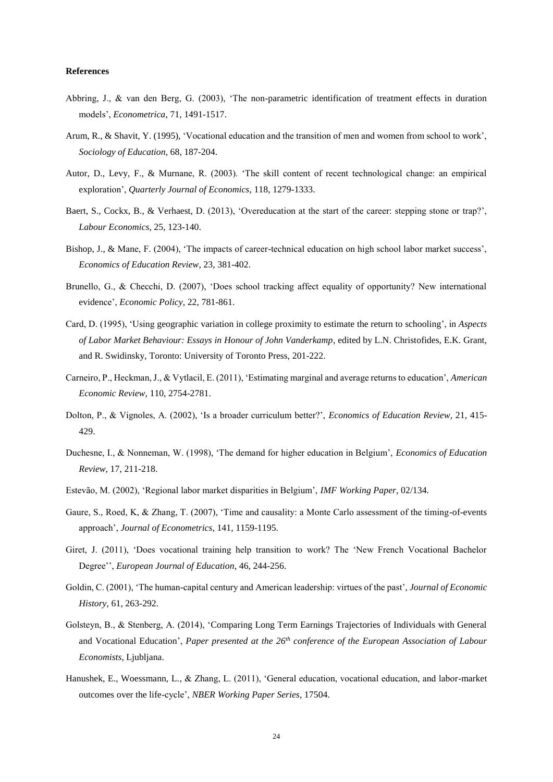#### **References**

- Abbring, J., & van den Berg, G. (2003), 'The non-parametric identification of treatment effects in duration models', *Econometrica*, 71, 1491-1517.
- Arum, R., & Shavit, Y. (1995), 'Vocational education and the transition of men and women from school to work', *Sociology of Education*, 68, 187-204.
- Autor, D., Levy, F., & Murnane, R. (2003). 'The skill content of recent technological change: an empirical exploration', *Quarterly Journal of Economics*, 118, 1279-1333.
- Baert, S., Cockx, B., & Verhaest, D. (2013), 'Overeducation at the start of the career: stepping stone or trap?', *Labour Economics*, 25, 123-140.
- Bishop, J., & Mane, F. (2004), 'The impacts of career-technical education on high school labor market success', *Economics of Education Review*, 23, 381-402.
- Brunello, G., & Checchi, D. (2007), 'Does school tracking affect equality of opportunity? New international evidence', *Economic Policy*, 22, 781-861.
- Card, D. (1995), 'Using geographic variation in college proximity to estimate the return to schooling', in *Aspects of Labor Market Behaviour: Essays in Honour of John Vanderkamp*, edited by L.N. Christofides, E.K. Grant, and R. Swidinsky, Toronto: University of Toronto Press, 201-222.
- Carneiro, P., Heckman, J., & Vytlacil, E. (2011), 'Estimating marginal and average returns to education', *American Economic Review*, 110, 2754-2781.
- Dolton, P., & Vignoles, A. (2002), 'Is a broader curriculum better?', *Economics of Education Review*, 21, 415- 429.
- Duchesne, I., & Nonneman, W. (1998), 'The demand for higher education in Belgium', *Economics of Education Review*, 17, 211-218.
- Estevão, M. (2002), 'Regional labor market disparities in Belgium', *IMF Working Paper*, 02/134.
- Gaure, S., Roed, K, & Zhang, T. (2007), 'Time and causality: a Monte Carlo assessment of the timing-of-events approach', *Journal of Econometrics*, 141, 1159-1195.
- Giret, J. (2011), 'Does vocational training help transition to work? The 'New French Vocational Bachelor Degree'', *European Journal of Education*, 46, 244-256.
- Goldin, C. (2001), 'The human-capital century and American leadership: virtues of the past', *Journal of Economic History*, 61, 263-292.
- Golsteyn, B., & Stenberg, A. (2014), 'Comparing Long Term Earnings Trajectories of Individuals with General and Vocational Education', *Paper presented at the 26th conference of the European Association of Labour Economists*, Ljubljana.
- Hanushek, E., Woessmann, L., & Zhang, L. (2011), 'General education, vocational education, and labor-market outcomes over the life-cycle', *NBER Working Paper Series*, 17504.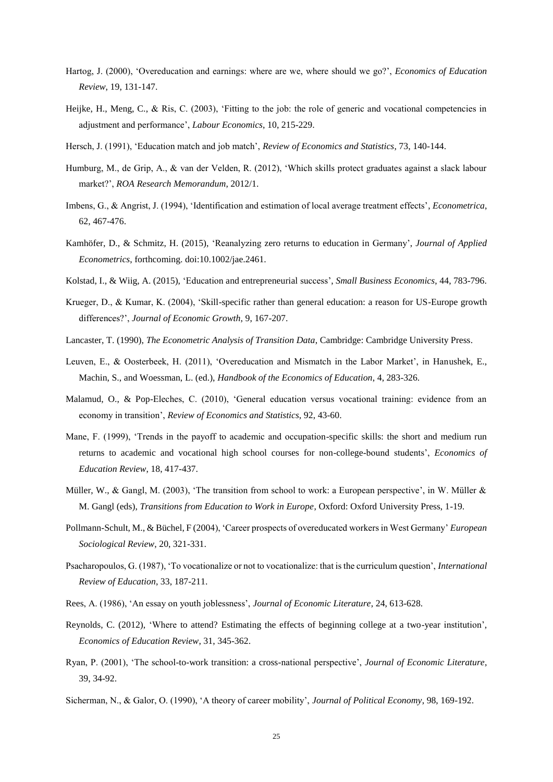- Hartog, J. (2000), 'Overeducation and earnings: where are we, where should we go?', *Economics of Education Review*, 19, 131-147.
- Heijke, H., Meng, C., & Ris, C. (2003), 'Fitting to the job: the role of generic and vocational competencies in adjustment and performance', *Labour Economics*, 10, 215-229.
- Hersch, J. (1991), 'Education match and job match', *Review of Economics and Statistics*, 73, 140-144.
- Humburg, M., de Grip, A., & van der Velden, R. (2012), 'Which skills protect graduates against a slack labour market?', *ROA Research Memorandum*, 2012/1.
- Imbens, G., & Angrist, J. (1994), 'Identification and estimation of local average treatment effects', *Econometrica*, 62, 467-476.
- Kamhöfer, D., & Schmitz, H. (2015), 'Reanalyzing zero returns to education in Germany', *Journal of Applied Econometrics*, forthcoming. doi:10.1002/jae.2461.
- Kolstad, I., & Wiig, A. (2015), 'Education and entrepreneurial success', *Small Business Economics*, 44, 783-796.
- Krueger, D., & Kumar, K. (2004), 'Skill-specific rather than general education: a reason for US-Europe growth differences?', *Journal of Economic Growth*, 9, 167-207.
- Lancaster, T. (1990), *The Econometric Analysis of Transition Data*, Cambridge: Cambridge University Press.
- Leuven, E., & Oosterbeek, H. (2011), 'Overeducation and Mismatch in the Labor Market', in Hanushek, E., Machin, S., and Woessman, L. (ed.), *Handbook of the Economics of Education*, 4, 283-326.
- Malamud, O., & Pop-Eleches, C. (2010), 'General education versus vocational training: evidence from an economy in transition', *Review of Economics and Statistics*, 92, 43-60.
- Mane, F. (1999), 'Trends in the payoff to academic and occupation-specific skills: the short and medium run returns to academic and vocational high school courses for non-college-bound students', *Economics of Education Review*, 18, 417-437.
- Müller, W., & Gangl, M. (2003), 'The transition from school to work: a European perspective', in W. Müller & M. Gangl (eds), *Transitions from Education to Work in Europe*, Oxford: Oxford University Press, 1-19.
- Pollmann-Schult, M., & Büchel, F (2004), 'Career prospects of overeducated workers in West Germany' *European Sociological Review*, 20, 321-331.
- Psacharopoulos, G. (1987), 'To vocationalize or not to vocationalize: that is the curriculum question', *International Review of Education*, 33, 187-211.
- Rees, A. (1986), 'An essay on youth joblessness', *Journal of Economic Literature*, 24, 613-628.
- Reynolds, C. (2012), 'Where to attend? Estimating the effects of beginning college at a two-year institution', *Economics of Education Review*, 31, 345-362.
- Ryan, P. (2001), 'The school-to-work transition: a cross-national perspective', *Journal of Economic Literature*, 39, 34-92.
- Sicherman, N., & Galor, O. (1990), 'A theory of career mobility', *Journal of Political Economy*, 98, 169-192.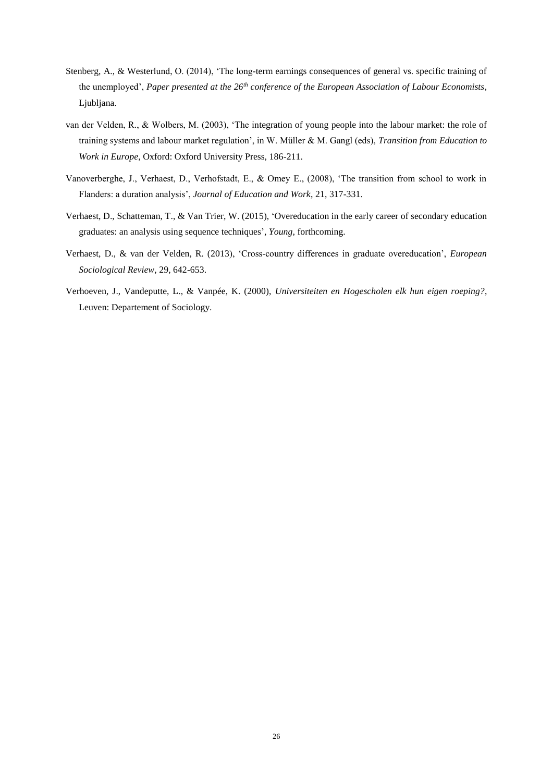- Stenberg, A., & Westerlund, O. (2014), 'The long-term earnings consequences of general vs. specific training of the unemployed', *Paper presented at the 26th conference of the European Association of Labour Economists*, Ljubljana.
- van der Velden, R., & Wolbers, M. (2003), 'The integration of young people into the labour market: the role of training systems and labour market regulation', in W. Müller & M. Gangl (eds), *Transition from Education to Work in Europe*, Oxford: Oxford University Press, 186-211.
- Vanoverberghe, J., Verhaest, D., Verhofstadt, E., & Omey E., (2008), 'The transition from school to work in Flanders: a duration analysis', *Journal of Education and Work*, 21, 317-331.
- Verhaest, D., Schatteman, T., & Van Trier, W. (2015), 'Overeducation in the early career of secondary education graduates: an analysis using sequence techniques', *Young*, forthcoming.
- Verhaest, D., & van der Velden, R. (2013), 'Cross-country differences in graduate overeducation', *European Sociological Review*, 29, 642-653.
- Verhoeven, J., Vandeputte, L., & Vanpée, K. (2000), *Universiteiten en Hogescholen elk hun eigen roeping?*, Leuven: Departement of Sociology.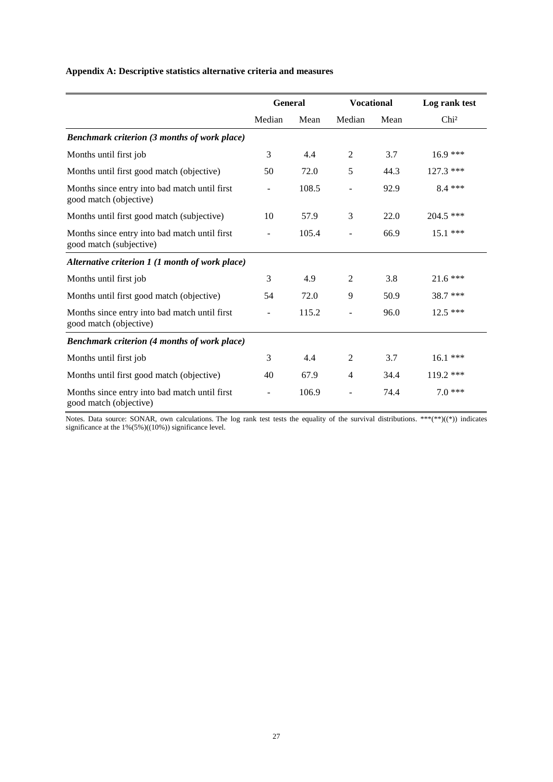#### **Appendix A: Descriptive statistics alternative criteria and measures**

|                                                                          | <b>General</b> |       | <b>Vocational</b>        |      | Log rank test    |  |
|--------------------------------------------------------------------------|----------------|-------|--------------------------|------|------------------|--|
|                                                                          | Median         | Mean  | Median                   | Mean | Chi <sup>2</sup> |  |
| <b>Benchmark criterion (3 months of work place)</b>                      |                |       |                          |      |                  |  |
| Months until first job                                                   | 3              | 4.4   | $\overline{2}$           | 3.7  | $16.9***$        |  |
| Months until first good match (objective)                                | 50             | 72.0  | 5                        | 44.3 | 127.3 ***        |  |
| Months since entry into bad match until first<br>good match (objective)  |                | 108.5 |                          | 92.9 | $8.4$ ***        |  |
| Months until first good match (subjective)                               | 10             | 57.9  | 3                        | 22.0 | $204.5$ ***      |  |
| Months since entry into bad match until first<br>good match (subjective) |                | 105.4 |                          | 66.9 | 15.1 ***         |  |
| Alternative criterion 1 (1 month of work place)                          |                |       |                          |      |                  |  |
| Months until first job                                                   | 3              | 4.9   | $\overline{2}$           | 3.8  | $21.6***$        |  |
| Months until first good match (objective)                                | 54             | 72.0  | 9                        | 50.9 | 38.7 ***         |  |
| Months since entry into bad match until first<br>good match (objective)  |                | 115.2 | $\overline{\phantom{m}}$ | 96.0 | $12.5$ ***       |  |
| <b>Benchmark criterion (4 months of work place)</b>                      |                |       |                          |      |                  |  |
| Months until first job                                                   | 3              | 4.4   | $\overline{2}$           | 3.7  | $16.1***$        |  |
| Months until first good match (objective)                                | 40             | 67.9  | $\overline{4}$           | 34.4 | 119.2 ***        |  |
| Months since entry into bad match until first<br>good match (objective)  |                | 106.9 | $\overline{a}$           | 74.4 | $7.0***$         |  |

Notes. Data source: SONAR, own calculations. The log rank test tests the equality of the survival distributions. \*\*\*(\*\*)((\*)) indicates significance at the 1%(5%)((10%)) significance level.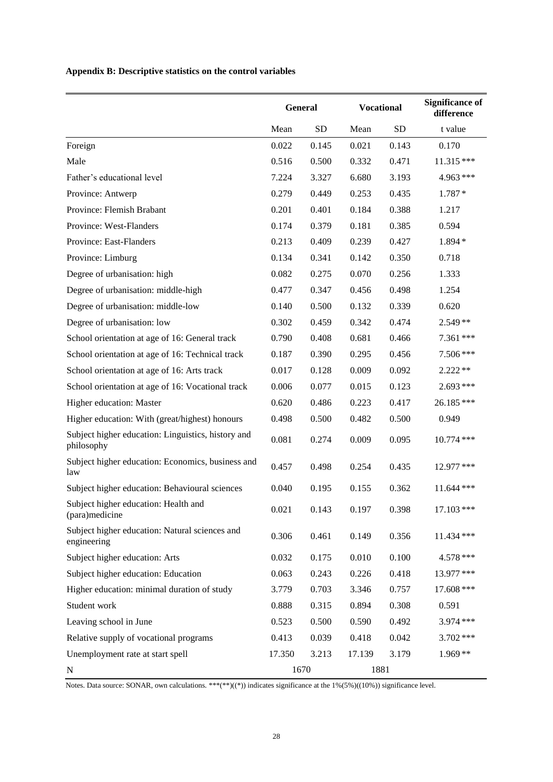**Appendix B: Descriptive statistics on the control variables**

|                                                                  |        | <b>General</b> |        | <b>Vocational</b> | <b>Significance of</b><br>difference |
|------------------------------------------------------------------|--------|----------------|--------|-------------------|--------------------------------------|
|                                                                  | Mean   | <b>SD</b>      | Mean   | <b>SD</b>         | t value                              |
| Foreign                                                          | 0.022  | 0.145          | 0.021  | 0.143             | 0.170                                |
| Male                                                             | 0.516  | 0.500          | 0.332  | 0.471             | 11.315 ***                           |
| Father's educational level                                       | 7.224  | 3.327          | 6.680  | 3.193             | 4.963 ***                            |
| Province: Antwerp                                                | 0.279  | 0.449          | 0.253  | 0.435             | $1.787*$                             |
| Province: Flemish Brabant                                        | 0.201  | 0.401          | 0.184  | 0.388             | 1.217                                |
| Province: West-Flanders                                          | 0.174  | 0.379          | 0.181  | 0.385             | 0.594                                |
| Province: East-Flanders                                          | 0.213  | 0.409          | 0.239  | 0.427             | 1.894 *                              |
| Province: Limburg                                                | 0.134  | 0.341          | 0.142  | 0.350             | 0.718                                |
| Degree of urbanisation: high                                     | 0.082  | 0.275          | 0.070  | 0.256             | 1.333                                |
| Degree of urbanisation: middle-high                              | 0.477  | 0.347          | 0.456  | 0.498             | 1.254                                |
| Degree of urbanisation: middle-low                               | 0.140  | 0.500          | 0.132  | 0.339             | 0.620                                |
| Degree of urbanisation: low                                      | 0.302  | 0.459          | 0.342  | 0.474             | $2.549**$                            |
| School orientation at age of 16: General track                   | 0.790  | 0.408          | 0.681  | 0.466             | 7.361 ***                            |
| School orientation at age of 16: Technical track                 | 0.187  | 0.390          | 0.295  | 0.456             | 7.506 ***                            |
| School orientation at age of 16: Arts track                      | 0.017  | 0.128          | 0.009  | 0.092             | $2.222**$                            |
| School orientation at age of 16: Vocational track                | 0.006  | 0.077          | 0.015  | 0.123             | 2.693 ***                            |
| Higher education: Master                                         | 0.620  | 0.486          | 0.223  | 0.417             | 26.185***                            |
| Higher education: With (great/highest) honours                   | 0.498  | 0.500          | 0.482  | 0.500             | 0.949                                |
| Subject higher education: Linguistics, history and<br>philosophy | 0.081  | 0.274          | 0.009  | 0.095             | 10.774 ***                           |
| Subject higher education: Economics, business and<br>law         | 0.457  | 0.498          | 0.254  | 0.435             | 12.977 ***                           |
| Subject higher education: Behavioural sciences                   | 0.040  | 0.195          | 0.155  | 0.362             | $11.644$ ***                         |
| Subject higher education: Health and<br>(para)medicine           | 0.021  | 0.143          | 0.197  | 0.398             | 17.103 ***                           |
| Subject higher education: Natural sciences and<br>engineering    | 0.306  | 0.461          | 0.149  | 0.356             | $11.434$ ***                         |
| Subject higher education: Arts                                   | 0.032  | 0.175          | 0.010  | 0.100             | 4.578 ***                            |
| Subject higher education: Education                              | 0.063  | 0.243          | 0.226  | 0.418             | 13.977 ***                           |
| Higher education: minimal duration of study                      | 3.779  | 0.703          | 3.346  | 0.757             | 17.608 ***                           |
| Student work                                                     | 0.888  | 0.315          | 0.894  | 0.308             | 0.591                                |
| Leaving school in June                                           | 0.523  | 0.500          | 0.590  | 0.492             | 3.974 ***                            |
| Relative supply of vocational programs                           | 0.413  | 0.039          | 0.418  | 0.042             | 3.702***                             |
| Unemployment rate at start spell                                 | 17.350 | 3.213          | 17.139 | 3.179             | $1.969**$                            |
| N                                                                |        | 1670           | 1881   |                   |                                      |

Notes. Data source: SONAR, own calculations. \*\*\*(\*\*)((\*)) indicates significance at the 1%(5%)((10%)) significance level.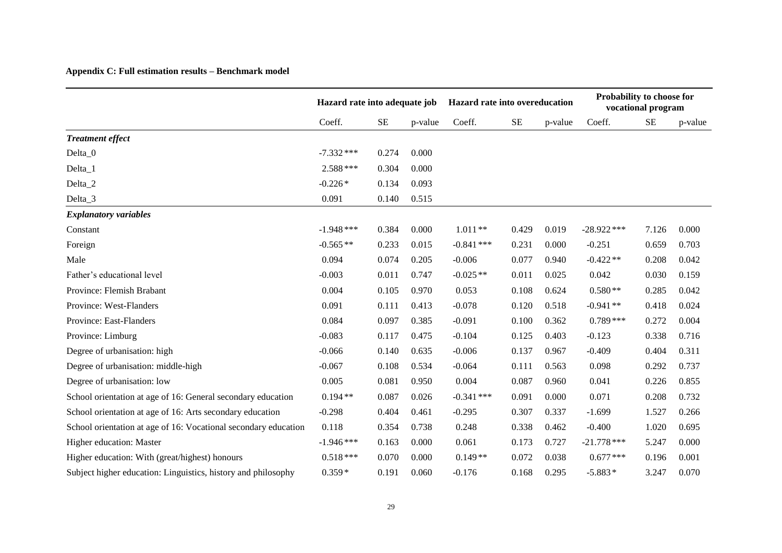### **Appendix C: Full estimation results – Benchmark model**

|                                                                 | Hazard rate into adequate job |          |         | Hazard rate into overeducation |          |         | Probability to choose for<br>vocational program |          |         |
|-----------------------------------------------------------------|-------------------------------|----------|---------|--------------------------------|----------|---------|-------------------------------------------------|----------|---------|
|                                                                 | Coeff.                        | $\rm SE$ | p-value | Coeff.                         | $\rm SE$ | p-value | Coeff.                                          | $\rm SE$ | p-value |
| <b>Treatment effect</b>                                         |                               |          |         |                                |          |         |                                                 |          |         |
| Delta_0                                                         | $-7.332$ ***                  | 0.274    | 0.000   |                                |          |         |                                                 |          |         |
| Delta_1                                                         | $2.588***$                    | 0.304    | 0.000   |                                |          |         |                                                 |          |         |
| Delta_2                                                         | $-0.226*$                     | 0.134    | 0.093   |                                |          |         |                                                 |          |         |
| Delta_3                                                         | 0.091                         | 0.140    | 0.515   |                                |          |         |                                                 |          |         |
| <b>Explanatory variables</b>                                    |                               |          |         |                                |          |         |                                                 |          |         |
| Constant                                                        | $-1.948$ ***                  | 0.384    | 0.000   | $1.011**$                      | 0.429    | 0.019   | $-28.922$ ***                                   | 7.126    | 0.000   |
| Foreign                                                         | $-0.565**$                    | 0.233    | 0.015   | $-0.841$ ***                   | 0.231    | 0.000   | $-0.251$                                        | 0.659    | 0.703   |
| Male                                                            | 0.094                         | 0.074    | 0.205   | $-0.006$                       | 0.077    | 0.940   | $-0.422**$                                      | 0.208    | 0.042   |
| Father's educational level                                      | $-0.003$                      | 0.011    | 0.747   | $-0.025**$                     | 0.011    | 0.025   | 0.042                                           | 0.030    | 0.159   |
| Province: Flemish Brabant                                       | 0.004                         | 0.105    | 0.970   | 0.053                          | 0.108    | 0.624   | $0.580**$                                       | 0.285    | 0.042   |
| Province: West-Flanders                                         | 0.091                         | 0.111    | 0.413   | $-0.078$                       | 0.120    | 0.518   | $-0.941**$                                      | 0.418    | 0.024   |
| Province: East-Flanders                                         | 0.084                         | 0.097    | 0.385   | $-0.091$                       | 0.100    | 0.362   | $0.789***$                                      | 0.272    | 0.004   |
| Province: Limburg                                               | $-0.083$                      | 0.117    | 0.475   | $-0.104$                       | 0.125    | 0.403   | $-0.123$                                        | 0.338    | 0.716   |
| Degree of urbanisation: high                                    | $-0.066$                      | 0.140    | 0.635   | $-0.006$                       | 0.137    | 0.967   | $-0.409$                                        | 0.404    | 0.311   |
| Degree of urbanisation: middle-high                             | $-0.067$                      | 0.108    | 0.534   | $-0.064$                       | 0.111    | 0.563   | 0.098                                           | 0.292    | 0.737   |
| Degree of urbanisation: low                                     | 0.005                         | 0.081    | 0.950   | 0.004                          | 0.087    | 0.960   | 0.041                                           | 0.226    | 0.855   |
| School orientation at age of 16: General secondary education    | $0.194**$                     | 0.087    | 0.026   | $-0.341$ ***                   | 0.091    | 0.000   | 0.071                                           | 0.208    | 0.732   |
| School orientation at age of 16: Arts secondary education       | $-0.298$                      | 0.404    | 0.461   | $-0.295$                       | 0.307    | 0.337   | $-1.699$                                        | 1.527    | 0.266   |
| School orientation at age of 16: Vocational secondary education | 0.118                         | 0.354    | 0.738   | 0.248                          | 0.338    | 0.462   | $-0.400$                                        | 1.020    | 0.695   |
| Higher education: Master                                        | $-1.946***$                   | 0.163    | 0.000   | 0.061                          | 0.173    | 0.727   | $-21.778$ ***                                   | 5.247    | 0.000   |
| Higher education: With (great/highest) honours                  | $0.518***$                    | 0.070    | 0.000   | $0.149**$                      | 0.072    | 0.038   | $0.677$ ***                                     | 0.196    | 0.001   |
| Subject higher education: Linguistics, history and philosophy   | $0.359*$                      | 0.191    | 0.060   | $-0.176$                       | 0.168    | 0.295   | $-5.883*$                                       | 3.247    | 0.070   |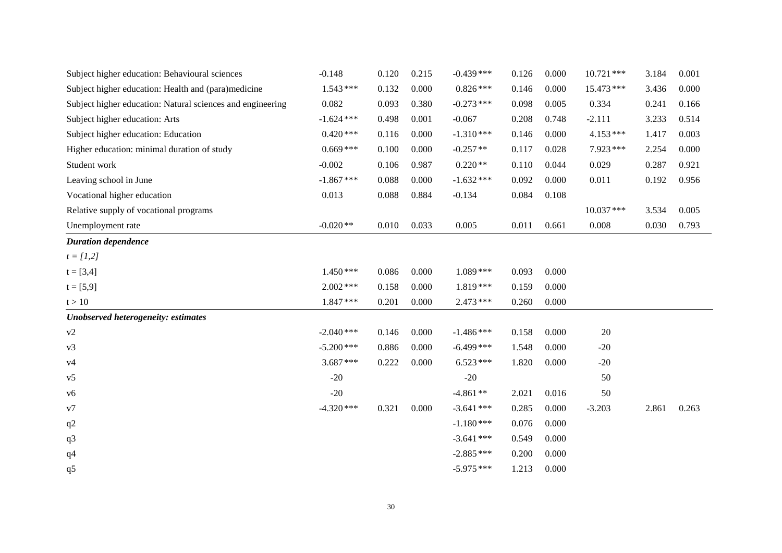| Subject higher education: Behavioural sciences             | $-0.148$     | 0.120 | 0.215 | $-0.439***$  | 0.126 | 0.000 | $10.721$ *** | 3.184 | 0.001 |
|------------------------------------------------------------|--------------|-------|-------|--------------|-------|-------|--------------|-------|-------|
| Subject higher education: Health and (para)medicine        | $1.543***$   | 0.132 | 0.000 | $0.826***$   | 0.146 | 0.000 | 15.473 ***   | 3.436 | 0.000 |
| Subject higher education: Natural sciences and engineering | 0.082        | 0.093 | 0.380 | $-0.273$ *** | 0.098 | 0.005 | 0.334        | 0.241 | 0.166 |
| Subject higher education: Arts                             | $-1.624$ *** | 0.498 | 0.001 | $-0.067$     | 0.208 | 0.748 | $-2.111$     | 3.233 | 0.514 |
| Subject higher education: Education                        | $0.420***$   | 0.116 | 0.000 | $-1.310***$  | 0.146 | 0.000 | $4.153***$   | 1.417 | 0.003 |
| Higher education: minimal duration of study                | $0.669***$   | 0.100 | 0.000 | $-0.257**$   | 0.117 | 0.028 | $7.923***$   | 2.254 | 0.000 |
| Student work                                               | $-0.002$     | 0.106 | 0.987 | $0.220**$    | 0.110 | 0.044 | 0.029        | 0.287 | 0.921 |
| Leaving school in June                                     | $-1.867$ *** | 0.088 | 0.000 | $-1.632$ *** | 0.092 | 0.000 | 0.011        | 0.192 | 0.956 |
| Vocational higher education                                | 0.013        | 0.088 | 0.884 | $-0.134$     | 0.084 | 0.108 |              |       |       |
| Relative supply of vocational programs                     |              |       |       |              |       |       | $10.037***$  | 3.534 | 0.005 |
| Unemployment rate                                          | $-0.020**$   | 0.010 | 0.033 | 0.005        | 0.011 | 0.661 | 0.008        | 0.030 | 0.793 |
| <b>Duration dependence</b>                                 |              |       |       |              |       |       |              |       |       |
| $t = [1,2]$                                                |              |       |       |              |       |       |              |       |       |
| $t = [3,4]$                                                | $1.450***$   | 0.086 | 0.000 | $1.089***$   | 0.093 | 0.000 |              |       |       |
| $t = [5, 9]$                                               | $2.002$ ***  | 0.158 | 0.000 | $1.819***$   | 0.159 | 0.000 |              |       |       |
| t > 10                                                     | $1.847***$   | 0.201 | 0.000 | $2.473***$   | 0.260 | 0.000 |              |       |       |
| Unobserved heterogeneity: estimates                        |              |       |       |              |       |       |              |       |       |
| v2                                                         | $-2.040$ *** | 0.146 | 0.000 | $-1.486$ *** | 0.158 | 0.000 | 20           |       |       |
| v3                                                         | $-5.200$ *** | 0.886 | 0.000 | $-6.499$ *** | 1.548 | 0.000 | $-20$        |       |       |
| v4                                                         | $3.687***$   | 0.222 | 0.000 | $6.523***$   | 1.820 | 0.000 | $-20$        |       |       |
| v <sub>5</sub>                                             | $-20$        |       |       | $-20$        |       |       | 50           |       |       |
| v6                                                         | $-20$        |       |       | $-4.861**$   | 2.021 | 0.016 | 50           |       |       |
| v7                                                         | $-4.320$ *** | 0.321 | 0.000 | $-3.641$ *** | 0.285 | 0.000 | $-3.203$     | 2.861 | 0.263 |
| q2                                                         |              |       |       | $-1.180***$  | 0.076 | 0.000 |              |       |       |
| q <sub>3</sub>                                             |              |       |       | $-3.641$ *** | 0.549 | 0.000 |              |       |       |
| q <sub>4</sub>                                             |              |       |       | $-2.885***$  | 0.200 | 0.000 |              |       |       |
| q5                                                         |              |       |       | $-5.975***$  | 1.213 | 0.000 |              |       |       |
|                                                            |              |       |       |              |       |       |              |       |       |